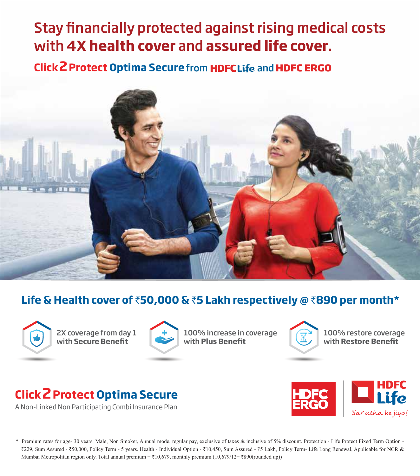# Stay financially protected against rising medical costs with **4X health cover** and **assured life cover**.

# **Click 2 Protect Optima Secure from HDFCLife and HDFC ERGO**



# **Life & Health cover of** `**50,000 &** `**5 Lakh respectively @** `**890 per month\***



2X coverage from day 1 with **Secure Benefit** 



100% increase in coverage with **Plus Benet**



100% restore coverage with **Restore Benet**

# **Click2Protect Optima Secure**

A Non-Linked Non Participating Combi Insurance Plan



\* Premium rates for age- 30 years, Male, Non Smoker, Annual mode, regular pay, exclusive of taxes & inclusive of 5% discount. Protection - Life Protect Fixed Term Option - `229, Sum Assured - `50,000, Policy Term - 5 years. Health - Individual Option - `10,450, Sum Assured - `5 Lakh, Policy Term- Life Long Renewal, Applicable for NCR & Mumbai Metropolitan region only. Total annual premium =  $\bar{\tau}10,679$ , monthly premium (10,679/12=  $\bar{\tau}890$ (rounded up))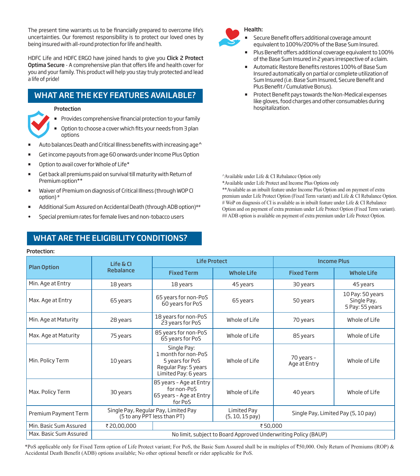The present time warrants us to be financially prepared to overcome life's uncertainties. Our foremost responsibility is to protect our loved ones by being insured with all-round protection for life and health.

HDFC Life and HDFC ERGO have joined hands to give you Click 2 Protect Optima Secure - A comprehensive plan that offers life and health cover for you and your family. This product will help you stay truly protected and lead a life of pride!

# WHAT ARE THE KEY FEATURES AVAILABLE?

#### Protection

- Provides comprehensive financial protection to your family
- Option to choose a cover which fits your needs from 3 plan options
- Auto balances Death and Critical Illness benefits with increasing age^
- Get income payouts from age 60 onwards under Income Plus Option
- Option to avail cover for Whole of Life\*
- Get back all premiums paid on survival till maturity with Return of Premium option\*\*
- Waiver of Premium on diagnosis of Critical Illness (through WOP CI option) #
- Additional Sum Assured on Accidental Death (through ADB option)##
- Special premium rates for female lives and non-tobacco users

# WHAT ARE THE ELIGIBILITY CONDITIONS?

#### Protection:



- Secure Benefit offers additional coverage amount equivalent to 100%/200% of the Base Sum Insured.
- Plus Benefit offers additional coverage equivalent to 100% of the Base Sum Insured in 2 years irrespective of a claim.
- Automatic Restore Benefits restores 100% of Base Sum Insured automatically on partial or complete utilization of Sum Insured (i.e. Base Sum Insured, Secure Benefit and Plus Benefit / Cumulative Bonus).
- Protect Benefit pays towards the Non-Medical expenses like gloves, food charges and other consumables during hospitalization.

^Available under Life & CI Rebalance Option only

\*Available under Life Protect and Income Plus Options only

\*\*Available as an inbuilt feature under Income Plus Option and on payment of extra premium under Life Protect Option (Fixed Term variant) and Life & CI Rebalance Option. # WoP on diagnosis of CI is available as in inbuilt feature under Life & CI Rebalance Option and on payment of extra premium under Life Protect Option (Fixed Term variant). ## ADB option is available on payment of extra premium under Life Protect Option.

| <b>Plan Option</b>     | $L$ ife & Cl | <b>Life Protect</b>                                                                                                                                    |                   | <b>Income Plus</b>         |                                                    |
|------------------------|--------------|--------------------------------------------------------------------------------------------------------------------------------------------------------|-------------------|----------------------------|----------------------------------------------------|
|                        | Rebalance    | <b>Fixed Term</b>                                                                                                                                      | <b>Whole Life</b> | <b>Fixed Term</b>          | <b>Whole Life</b>                                  |
| Min. Age at Entry      | 18 years     | 18 years                                                                                                                                               | 45 years          | 30 years                   | 45 years                                           |
| Max. Age at Entry      | 65 years     | 65 years for non-PoS<br>60 years for PoS                                                                                                               | 65 years          | 50 years                   | 10 Pay: 50 years<br>Single Pay,<br>5 Pay: 55 years |
| Min. Age at Maturity   | 28 years     | 18 years for non-PoS<br>23 years for PoS                                                                                                               | Whole of Life     | 70 years                   | Whole of Life                                      |
| Max. Age at Maturity   | 75 years     | 85 years for non-PoS<br>65 years for PoS                                                                                                               | Whole of Life     | 85 years                   | Whole of Life                                      |
| Min. Policy Term       | 10 years     | Single Pay:<br>1 month for non-PoS<br>5 years for PoS<br>Regular Pay: 5 years<br>Limited Pay: 6 years                                                  | Whole of Life     | 70 years -<br>Age at Entry | Whole of Life                                      |
| Max. Policy Term       | 30 years     | 85 years - Age at Entry<br>for non-PoS<br>65 years - Age at Entry<br>for PoS                                                                           | Whole of Life     | 40 years                   | Whole of Life                                      |
| Premium Payment Term   |              | Single Pay, Regular Pay, Limited Pay<br>Limited Pay<br>Single Pay, Limited Pay (5, 10 pay)<br>(5 to any PPT less than PT)<br>$(5, 10, 15 \text{ pay})$ |                   |                            |                                                    |
| Min. Basic Sum Assured | ₹20,00,000   | ₹50,000                                                                                                                                                |                   |                            |                                                    |
| Max. Basic Sum Assured |              | No limit, subject to Board Approved Underwriting Policy (BAUP)                                                                                         |                   |                            |                                                    |

\*PoS applicable only for Fixed Term option of Life Protect variant; For PoS, the Basic Sum Assured shall be in multiples of `50,000. Only Return of Premiums (ROP) & Accidental Death Benefit (ADB) options available; No other optional benefit or rider applicable for PoS.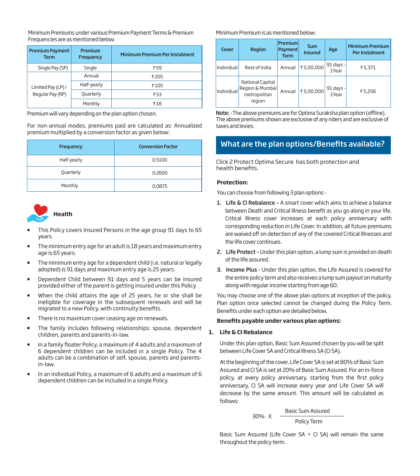Minimum Premiums under various Premium Payment Terms & Premium Frequencies are as mentioned below:

| <b>Premium Payment</b><br><b>Term</b> | Premium<br>Frequency | <b>Minimum Premium Per Instalment</b> |
|---------------------------------------|----------------------|---------------------------------------|
| Single Pay (SP)                       | Single               | ₹ 59                                  |
|                                       | Annual               | ₹205                                  |
| Limited Pay (LP) /                    | Half-yearly          | ₹105                                  |
| Regular Pay (RP)                      | Quarterly            | ₹53                                   |
|                                       | Monthly              | ₹18                                   |

For non-annual modes, premiums paid are calculated as: Annualized premium multiplied by a conversion factor as given below:

| Frequency   | <b>Conversion Factor</b> |
|-------------|--------------------------|
| Half-yearly | 0.5100                   |
| Quarterly   | 0.2600                   |
| Monthly     | 0.0875                   |



- This Policy covers Insured Persons in the age group 91 days to 65 years.
- The minimum entry age for an adult is 18 years and maximum entry age is 65 years.
- The minimum entry age for a dependent child (i.e. natural or legally adopted) is 91 days and maximum entry age is 25 years.
- Dependent Child between 91 days and 5 years can be insured provided either of the parent is getting insured under this Policy.
- When the child attains the age of 25 years, he or she shall be ineligible for coverage in the subsequent renewals and will be migrated to a new Policy, with continuity benefits.
- There is no maximum cover ceasing age on renewals.
- **The family includes following relationships: spouse, dependent** children, parents and parents-in-law.
- In a family floater Policy, a maximum of 4 adults and a maximum of 6 dependent children can be included in a single Policy. The 4 adults can be a combination of self, spouse, parents and parentsin-law.
- In an individual Policy, a maximum of 6 adults and a maximum of 6 dependent children can be included in a single Policy.

# Minimum Premium is as mentioned below:

| Cover      | Region                                                        | <b>Premium</b><br>Payment<br><b>Term</b> | <b>Sum</b><br><b>Insured</b> | Age                | <b>Minimum Premium</b><br>Per Instalment |
|------------|---------------------------------------------------------------|------------------------------------------|------------------------------|--------------------|------------------------------------------|
| Individual | Rest of India                                                 | Annual                                   | ₹5,00,000                    | 91 days -<br>1Year | ₹5,371                                   |
| Individual | National Capital<br>Region & Mumbai<br>metropolitan<br>region | Annual                                   | ₹5,00,000                    | 91 days -<br>1Year | ₹5,206                                   |

Premium will vary depending on the plan option chosen. Note: -The above premiums are for Optima Suraksha plan option (offline). The above premiums shown are exclusive of any riders and are exclusive of taxes and levies.

# What are the plan options/Benefits available?

Click 2 Protect Optima Secure has both protection and health benefits.

# **Protection:**

You can choose from following 3 plan options -

- 1. Life & CI Rebalance A smart cover which aims to achieve a balance between Death and Critical Illness benefit as you go along in your life. Critical Illness cover increases at each policy anniversary with corresponding reduction in Life Cover. In addition, all future premiums are waived off on detection of any of the covered Critical Illnesses and the life cover continues.
- 2. Life Protect Under this plan option, a lump sum is provided on death of the life assured.
- 3. Income Plus Under this plan option, the Life Assured is covered for the entire policy term and also receives a lump sum payout on maturity along with regular income starting from age 60.

You may choose one of the above plan options at inception of the policy. Plan option once selected cannot be changed during the Policy Term. Benefits under each option are detailed below.

# **Benets payable under various plan options:**

#### **1. Life & CI Rebalance**

 Under this plan option, Basic Sum Assured chosen by you will be split between Life Cover SA and Critical Illness SA (CI SA).

 At the beginning of the cover, Life Cover SA is set at 80% of Basic Sum Assured and CI SA is set at 20% of Basic Sum Assured. For an in-force policy, at every policy anniversary, starting from the first policy anniversary, CI SA will increase every year and Life Cover SA will decrease by the same amount. This amount will be calculated as follows:

> 30% X Basic Sum Assured Policy Term

Basic Sum Assured (Life Cover SA  $+$  CI SA) will remain the same throughout the policy term.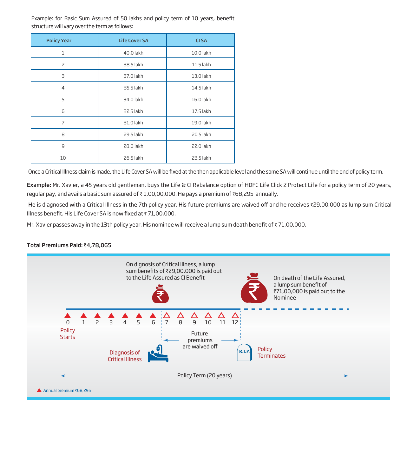Example: for Basic Sum Assured of 50 lakhs and policy term of 10 years, benefit structure will vary over the term as follows:

| <b>Policy Year</b> | <b>Life Cover SA</b> | <b>CISA</b> |
|--------------------|----------------------|-------------|
| $\mathbf{1}$       | 40.0 lakh            | 10.0 lakh   |
| 2                  | 38.5 lakh            | 11.5 lakh   |
| 3                  | 37.0 lakh            | 13.0 lakh   |
| $\overline{4}$     | 35.5 lakh            | 14.5 lakh   |
| 5                  | 34.0 lakh            | 16.0 lakh   |
| 6                  | 32.5 lakh            | 17.5 lakh   |
| 7                  | 31.0 lakh            | 19.0 lakh   |
| 8                  | 29.5 lakh            | 20.5 lakh   |
| 9                  | 28.0 lakh            | 22.0 lakh   |
| 10                 | 26.5 lakh            | 23.5 lakh   |

Once a Critical Illness claim is made, the Life Cover SA will be fixed at the then applicable level and the same SA will continue until the end of policy term.

Example: Mr. Xavier, a 45 years old gentleman, buys the Life & CI Rebalance option of HDFC Life Click 2 Protect Life for a policy term of 20 years, regular pay, and avails a basic sum assured of  $\bar{\tau}$  1,00,00,000. He pays a premium of  $\bar{\tau}$ 68,295 annually.

He is diagnosed with a Critical Illness in the 7th policy year. His future premiums are waived off and he receives ₹29,00,000 as lump sum Critical Illness benefit. His Life Cover SA is now fixed at  $\bar{z}$  71,00,000.

Mr. Xavier passes away in the 13th policy year. His nominee will receive a lump sum death benefit of ₹71,00,000.

# Total Premiums Paid: ₹4,78,065

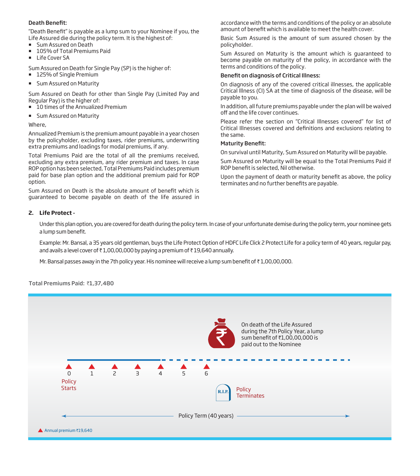# Death Benefit:

"Death Benefit" is payable as a lump sum to your Nominee if you, the Life Assured die during the policy term. It is the highest of:

- **Sum Assured on Death**
- 105% of Total Premiums Paid
- Life Cover SA

Sum Assured on Death for Single Pay (SP) is the higher of:

- 125% of Single Premium
- **Sum Assured on Maturity**

Sum Assured on Death for other than Single Pay (Limited Pay and Regular Pay) is the higher of:

- $\overline{\phantom{a}}$  10 times of the Annualized Premium
- **Sum Assured on Maturity**

Where,

Annualized Premium is the premium amount payable in a year chosen by the policyholder, excluding taxes, rider premiums, underwriting extra premiums and loadings for modal premiums, if any.

Total Premiums Paid are the total of all the premiums received, excluding any extra premium, any rider premium and taxes. In case ROP option has been selected, Total Premiums Paid includes premium paid for base plan option and the additional premium paid for ROP option.

Sum Assured on Death is the absolute amount of benefit which is guaranteed to become payable on death of the life assured in

accordance with the terms and conditions of the policy or an absolute amount of benefit which is available to meet the health cover.

Basic Sum Assured is the amount of sum assured chosen by the policyholder.

Sum Assured on Maturity is the amount which is guaranteed to become payable on maturity of the policy, in accordance with the terms and conditions of the policy.

#### Benefit on diagnosis of Critical Illness:

On diagnosis of any of the covered critical illnesses, the applicable Critical Illness (CI) SA at the time of diagnosis of the disease, will be payable to you.

In addition, all future premiums payable under the plan will be waived off and the life cover continues.

Please refer the section on "Critical Illnesses covered" for list of Critical Illnesses covered and definitions and exclusions relating to the same.

#### **Maturity Benefit:**

On survival until Maturity, Sum Assured on Maturity will be payable.

Sum Assured on Maturity will be equal to the Total Premiums Paid if ROP benefit is selected. Nil otherwise.

Upon the payment of death or maturity benefit as above, the policy terminates and no further benefits are payable.

# **2. Life Protect -**

 Under this plan option, you are covered for death during the policy term. In case of your unfortunate demise during the policy term, your nominee gets a lump sum benefit.

 Example: Mr. Bansal, a 35 years old gentleman, buys the Life Protect Option of HDFC Life Click 2 Protect Life for a policy term of 40 years, regular pay, and avails a level cover of  $\bar{\tau}$  1,00,00,000 by paying a premium of  $\bar{\tau}$  19,640 annually.

Mr. Bansal passes away in the 7th policy year. His nominee will receive a lump sum benefit of  $\bar{\tau}$  1,00,00,000.

Total Premiums Paid: ₹1,37,480

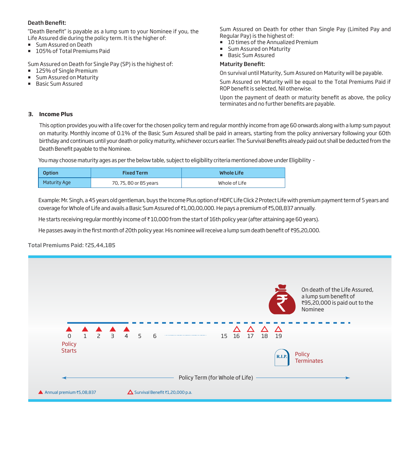# Death Benefit:

"Death Benefit" is payable as a lump sum to your Nominee if you, the Life Assured die during the policy term. It is the higher of:

- **Sum Assured on Death**
- 105% of Total Premiums Paid

Sum Assured on Death for Single Pay (SP) is the highest of:

- 125% of Single Premium
- **Sum Assured on Maturity**
- **Basic Sum Assured**

Sum Assured on Death for other than Single Pay (Limited Pay and Regular Pay) is the highest of:

- **10 times of the Annualized Premium**
- **Sum Assured on Maturity**
- **Basic Sum Assured**

# **Maturity Benefit:**

On survival until Maturity, Sum Assured on Maturity will be payable.

Sum Assured on Maturity will be equal to the Total Premiums Paid if ROP benefit is selected, Nil otherwise.

Upon the payment of death or maturity benefit as above, the policy terminates and no further benefits are payable.

# **3. Income Plus**

 This option provides you with a life cover for the chosen policy term and regular monthly income from age 60 onwards along with a lump sum payout on maturity. Monthly income of 0.1% of the Basic Sum Assured shall be paid in arrears, starting from the policy anniversary following your 60th birthday and continues until your death or policy maturity, whichever occurs earlier. The Survival Benefits already paid out shall be deducted from the Death Benefit payable to the Nominee.

You may choose maturity ages as per the below table, subject to eligibility criteria mentioned above under Eligibility -

| <b>Option</b> | <b>Fixed Term</b>      | <b>Whole Life</b> |
|---------------|------------------------|-------------------|
| Maturity Age  | 70, 75, 80 or 85 years | Whole of Life     |

Example: Mr. Singh, a 45 years old gentleman, buys the Income Plus option of HDFC Life Click 2 Protect Life with premium payment term of 5 years and coverage for Whole of Life and avails a Basic Sum Assured of ₹1,00,00,000. He pays a premium of ₹5,08,837 annually.

He starts receiving regular monthly income of ₹10,000 from the start of 16th policy year (after attaining age 60 years).

He passes away in the first month of 20th policy year. His nominee will receive a lump sum death benefit of ₹95,20,000.

# Total Premiums Paid: ₹25,44,185

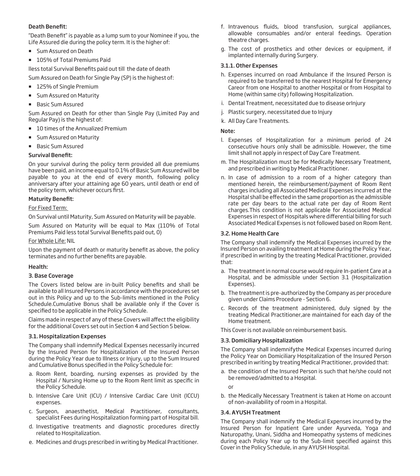# Death Benefit:

"Death Benefit" is payable as a lump sum to your Nominee if you, the Life Assured die during the policy term. It is the higher of:

- **Sum Assured on Death**
- 105% of Total Premiums Paid

lless total Survival Benefits paid out till the date of death

- Sum Assured on Death for Single Pay (SP) is the highest of:
- 125% of Single Premium
- **Sum Assured on Maturity**
- **Basic Sum Assured**

Sum Assured on Death for other than Single Pay (Limited Pay and Regular Pay) is the highest of:

- 10 times of the Annualized Premium
- **Sum Assured on Maturity**
- **Basic Sum Assured**

#### Survival Benefit:

On your survival during the policy term provided all due premiums have been paid, an income equal to 0.1% of Basic Sum Assured will be payable to you at the end of every month, following policy anniversary after your attaining age 60 years, until death or end of the policy term, whichever occurs first.

# **Maturity Benefit:**

## For Fixed Term:

On Survival until Maturity, Sum Assured on Maturity will be payable.

Sum Assured on Maturity will be equal to Max (110% of Total Premiums Paid less total Survival Benefits paid out, 0)

#### For Whole Life: NIL

Upon the payment of death or maturity benefit as above, the policy terminates and no further benefits are payable.

# Health:

# 3. Base Coverage

The Covers listed below are in-built Policy benefits and shall be available to all Insured Persons in accordance with the procedures set out in this Policy and up to the Sub-limits mentioned in the Policy Schedule.Cumulative Bonus shall be available only if the Cover is specified to be applicable in the Policy Schedule.

Claims made in respect of any of these Covers will affect the eligibility for the additional Covers set out in Section 4 and Section 5 below.

#### 3.1. Hospitalization Expenses

The Company shall indemnify Medical Expenses necessarily incurred by the Insured Person for Hospitalization of the Insured Person during the Policy Year due to Illness or Injury, up to the Sum Insured and Cumulative Bonus specified in the Policy Schedule for:

- a. Room Rent, boarding, nursing expenses as provided by the Hospital / Nursing Home up to the Room Rent limit as specific in the Policy Schedule.
- b. Intensive Care Unit (ICU) / Intensive Cardiac Care Unit (ICCU) expenses.
- c. Surgeon, anaesthetist, Medical Practitioner, consultants, specialist Fees during Hospitalization forming part of Hospital bill.
- d. Investigative treatments and diagnostic procedures directly related to Hospitalization.
- e. Medicines and drugs prescribed in writing by Medical Practitioner.
- f. Intravenous fluids, blood transfusion, surgical appliances, allowable consumables and/or enteral feedings. Operation theatre charges.
- g. The cost of prosthetics and other devices or equipment, if implanted internally during Surgery.

#### 3.1.1. Other Expenses

- h. Expenses incurred on road Ambulance if the Insured Person is required to be transferred to the nearest Hospital for Emergency Careor from one Hospital to another Hospital or from Hospital to Home (within same city) following Hospitalization.
- i. Dental Treatment, necessitated due to disease orInjury
- j. Plastic surgery, necessitated due to Injury
- k. All Day Care Treatments.

#### Note:

- l. Expenses of Hospitalization for a minimum period of 24 consecutive hours only shall be admissible. However, the time limit shall not apply in respect of Day Care Treatment.
- m. The Hospitalization must be for Medically Necessary Treatment, and prescribed in writing by Medical Practitioner.
- n. In case of admission to a room of a higher category than mentioned herein, the reimbursement/payment of Room Rent charges including all Associated Medical Expenses incurred at the Hospital shall be effected in the same proportion as the admissible rate per day bears to the actual rate per day of Room Rent charges.This condition is not applicable for Associated Medical Expenses in respect of Hospitals where differential billing for such Associated Medical Expenses is not followed based on Room Rent.

#### 3.2. Home Health Care

The Company shall indemnify the Medical Expenses incurred by the Insured Person on availing treatment at Home during the Policy Year, if prescribed in writing by the treating Medical Practitioner, provided that:

- a. The treatment in normal course would require In-patient Care at a Hospital, and be admissible under Section 3.1 (Hospitalization Expenses).
- b. The treatment is pre-authorized by the Company as per procedure given under Claims Procedure - Section 6.
- c. Records of the treatment administered, duly signed by the treating Medical Practitioner,are maintained for each day of the Home treatment.

This Cover is not available on reimbursement basis.

#### 3.3. Domiciliary Hospitalization

The Company shall indemnifythe Medical Expenses incurred during the Policy Year on Domiciliary Hospitalization of the Insured Person prescribed in writing by treating Medical Practitioner, provided that:

a. the condition of the Insured Person is such that he/she could not be removed/admitted to a Hospital.

or

b. the Medically Necessary Treatment is taken at Home on account of non-availability of room in a Hospital.

# 3.4. AYUSH Treatment

The Company shall indemnify the Medical Expenses incurred by the Insured Person for Inpatient Care under Ayurveda, Yoga and Naturopathy, Unani, Siddha and Homeopathy systems of medicines during each Policy Year up to the Sub-limit specified against this Cover in the Policy Schedule, in any AYUSH Hospital.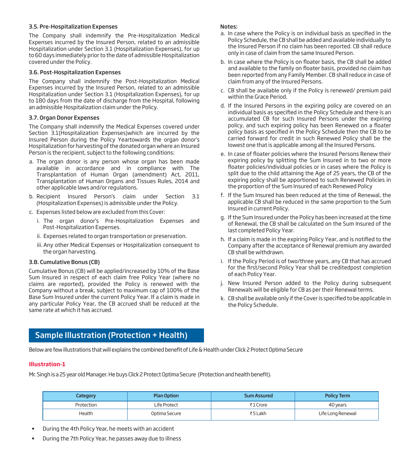#### 3.5. Pre-Hospitalization Expenses

The Company shall indemnify the Pre-Hospitalization Medical Expenses incurred by the Insured Person, related to an admissible Hospitalization under Section 3.1 (Hospitalization Expenses), for up to 60 days immediately prior to the date of admissible Hospitalization covered under the Policy.

#### 3.6. Post-Hospitalization Expenses

The Company shall indemnify the Post-Hospitalization Medical Expenses incurred by the Insured Person, related to an admissible Hospitalization under Section 3.1 (Hospitalization Expenses), for up to 180 days from the date of discharge from the Hospital, following an admissible Hospitalization claim under the Policy.

## 3.7. Organ Donor Expenses

The Company shall indemnify the Medical Expenses covered under Section 3.1(Hospitalization Expenses)which are incurred by the Insured Person during the Policy Yeartowards the organ donor's Hospitalization for harvesting of the donated organ where an Insured Person is the recipient, subject to the following conditions:

- a. The organ donor is any person whose organ has been made available in accordance and in compliance with The Transplantation of Human Organ (amendment) Act, 2011, Transplantation of Human Organs and Tissues Rules, 2014 and other applicable laws and/or regulations.
- b. Recipient Insured Person's claim under Section 3.1 (Hospitalization Expenses) is admissible under the Policy.
- c. Expenses listed below are excluded from this Cover:
	- i. The organ donor's Pre-Hospitalization Expenses and Post-Hospitalization Expenses.
	- ii. Expenses related to organ transportation or preservation.
	- iii. Any other Medical Expenses or Hospitalization consequent to the organ harvesting.

# 3.8. Cumulative Bonus (CB)

Cumulative Bonus (CB) will be applied/increased by 10% of the Base Sum Insured in respect of each claim free Policy Year (where no claims are reported), provided the Policy is renewed with the Company without a break, subject to maximum cap of 100% of the Base Sum Insured under the current Policy Year. If a claim is made in any particular Policy Year, the CB accrued shall be reduced at the same rate at which it has accrued.

#### Notes:

- a. In case where the Policy is on individual basis as specified in the Policy Schedule, the CB shall be added and available individually to the Insured Person if no claim has been reported. CB shall reduce only in case of claim from the same Insured Person.
- b. In case where the Policy is on floater basis, the CB shall be added and available to the family on floater basis, provided no claim has been reported from any Family Member. CB shall reduce in case of claim from any of the Insured Persons.
- c. CB shall be available only if the Policy is renewed/ premium paid within the Grace Period.
- d. If the Insured Persons in the expiring policy are covered on an individual basis as specified in the Policy Schedule and there is an accumulated CB for such Insured Persons under the expiring policy, and such expiring policy has been Renewed on a floater policy basis as specified in the Policy Schedule then the CB to be carried forward for credit in such Renewed Policy shall be the lowest one that is applicable among all the Insured Persons.
- e. In case of floater policies where the Insured Persons Renew their expiring policy by splitting the Sum Insured in to two or more floater policies/individual policies or in cases where the Policy is split due to the child attaining the Age of 25 years, the CB of the expiring policy shall be apportioned to such Renewed Policies in the proportion of the Sum Insured of each Renewed Policy
- f. If the Sum Insured has been reduced at the time of Renewal, the applicable CB shall be reduced in the same proportion to the Sum Insured in current Policy.
- g. If the Sum Insured under the Policy has been increased at the time of Renewal, the CB shall be calculated on the Sum Insured of the last completed Policy Year.
- h. If a claim is made in the expiring Policy Year, and is notified to the Company after the acceptance of Renewal premium any awarded CB shall be withdrawn.
- i. If the Policy Period is of two/three years, any CB that has accrued for the first/second Policy Year shall be creditedpost completion of each Policy Year.
- j. New Insured Person added to the Policy during subsequent Renewals will be eligible for CB as per their Renewal terms.
- k. CB shall be available only if the Cover is specified to be applicable in the Policy Schedule.

# Sample Illustration (Protection + Health)

Below are few illustrations that will explains the combined benefit of Life & Health under Click 2 Protect Optima Secure

# **Illustration-1**

Mr. Singh is a 25 year old Manager. He buys Click 2 Protect Optima Secure (Protection and health benefit).

| <b>Category</b> | <b>Plan Option</b> | <b>Sum Assured</b> | <b>Policy Term</b> |
|-----------------|--------------------|--------------------|--------------------|
| Protection      | Life Protect       | ₹1 Crore           | 40 years           |
| Health          | Optima Secure      | ₹5 Lakh            | Life Long Renewal  |

- During the 4th Policy Year, he meets with an accident
- During the 7th Policy Year, he passes away due to illness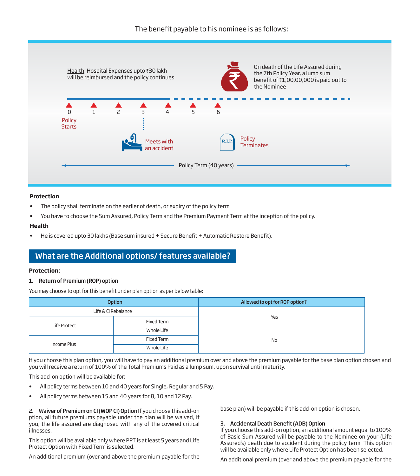

# **Protection**

- The policy shall terminate on the earlier of death, or expiry of the policy term
- You have to choose the Sum Assured, Policy Term and the Premium Payment Term at the inception of the policy.

# **Health**

He is covered upto 30 lakhs (Base sum insured + Secure Benefit + Automatic Restore Benefit).

# What are the Additional options/ features available?

# **Protection:**

# 1. Return of Premium (ROP) option

You may choose to opt for this benefit under plan option as per below table:

|              | <b>Option</b>       | Allowed to opt for ROP option? |
|--------------|---------------------|--------------------------------|
|              | Life & CI Rebalance |                                |
| Life Protect | Fixed Term          | Yes                            |
|              | Whole Life          |                                |
| Income Plus  | Fixed Term          | No                             |
|              | Whole Life          |                                |

If you choose this plan option, you will have to pay an additional premium over and above the premium payable for the base plan option chosen and you will receive a return of 100% of the Total Premiums Paid as a lump sum, upon survival until maturity.

This add-on option will be available for:

- All policy terms between 10 and 40 years for Single, Regular and 5 Pay.
- All policy terms between 15 and 40 years for 8, 10 and 12 Pay.

2. Waiver of Premium on CI (WOP CI) Option If you choose this add-on ption, all future premiums payable under the plan will be waived, if you, the life assured are diagnosed with any of the covered critical illnesses.

This option will be available only where PPT is at least 5 years and Life Protect Option with Fixed Term is selected.

An additional premium (over and above the premium payable for the

base plan) will be payable if this add-on option is chosen.

# 3. Accidental Death Benefit (ADB) Option

If you choose this add-on option, an additional amount equal to 100% of Basic Sum Assured will be payable to the Nominee on your (Life Assured's) death due to accident during the policy term. This option will be available only where Life Protect Option has been selected.

An additional premium (over and above the premium payable for the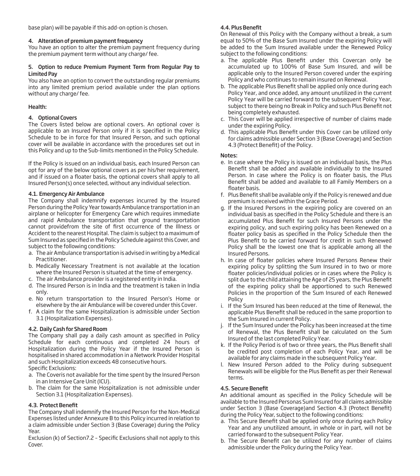base plan) will be payable if this add-on option is chosen.

# 4. Alteration of premium payment frequency

You have an option to alter the premium payment frequency during the premium payment term without any charge/ fee.

#### 5. Option to reduce Premium Payment Term from Regular Pay to Limited Pay

You also have an option to convert the outstanding regular premiums into any limited premium period available under the plan options without any charge/ fee.

# Health:

# 4. Optional Covers

The Covers listed below are optional covers. An optional cover is applicable to an Insured Person only if it is specified in the Policy Schedule to be in force for that Insured Person, and such optional cover will be available in accordance with the procedures set out in this Policy and up to the Sub-limits mentioned in the Policy Schedule.

If the Policy is issued on an individual basis, each Insured Person can opt for any of the below optional covers as per his/her requirement, and if issued on a floater basis, the optional covers shall apply to all Insured Person(s) once selected, without any individual selection.

# 4.1. Emergency Air Ambulance

The Company shall indemnify expenses incurred by the Insured Person during the Policy Year towards Ambulance transportation in an airplane or helicopter for Emergency Care which requires immediate and rapid Ambulance transportation that ground transportation cannot providefrom the site of first occurrence of the Illness or Accident to the nearest Hospital. The claim is subject to a maximum of Sum Insured as specified in the Policy Schedule against this Cover, and subject to the following conditions:

- a. The air Ambulance transportation is advised in writing by a Medical Practitioner.
- b. Medically Necessary Treatment is not available at the location where the Insured Person is situated at the time of emergency.
- c. The air Ambulance provider is a registered entity in India.
- d. The Insured Person is in India and the treatment is taken in India only.
- e. No return transportation to the Insured Person's Home or elsewhere by the air Ambulance will be covered under this Cover.
- f. A claim for the same Hospitalization is admissible under Section 3.1 (Hospitalization Expenses).

# 4.2. Daily Cash for Shared Room

The Company shall pay a daily cash amount as specified in Policy Schedule for each continuous and completed 24 hours of Hospitalization during the Policy Year if the Insured Person is hospitalised in shared accommodation in a Network Provider Hospital and such Hospitalization exceeds 48 consecutive hours.

Specific Exclusions:

- a. The Coveris not available for the time spent by the Insured Person in an Intensive Care Unit (ICU).
- b. The claim for the same Hospitalization is not admissible under Section 3.1 (Hospitalization Expenses).

# 4.3 Protect Benefit

The Company shall indemnify the Insured Person for the Non-Medical Expenses listed under Annexure B to this Policy incurred in relation to a claim admissible under Section 3 (Base Coverage) during the Policy Year.

Exclusion (k) of Section7.2 - Specific Exclusions shall not apply to this Cover.

# 4.4. Plus Benefit

On Renewal of this Policy with the Company without a break, a sum equal to 50% of the Base Sum Insured under the expiring Policy will be added to the Sum Insured available under the Renewed Policy subject to the following conditions:

- a. The applicable Plus Benefit under this Covercan only be accumulated up to 100% of Base Sum Insured, and will be applicable only to the Insured Person covered under the expiring Policy and who continues to remain insured on Renewal.
- b. The applicable Plus Benefit shall be applied only once during each Policy Year, and once added, any amount unutilized in the current Policy Year will be carried forward to the subsequent Policy Year, subject to there being no Break in Policy and such Plus Benefit not being completely exhausted.
- c. This Cover will be applied irrespective of number of claims made under the expiring Policy.
- d. This applicable Plus Benefit under this Cover can be utilized only for claims admissible under Section 3 (Base Coverage) and Section 4.3 (Protect Benefit) of the Policy.

#### Notes:

- e. In case where the Policy is issued on an individual basis, the Plus Benefit shall be added and available individually to the Insured Person. In case where the Policy is on floater basis, the Plus Benefit shall be added and available to all Family Members on a floater basis.
- f. Plus Benefit shall be available only if the Policy is renewed and due premium is received within the Grace Period.
- g. If the Insured Persons in the expiring policy are covered on an individual basis as specified in the Policy Schedule and there is an accumulated Plus Benefit for such Insured Persons under the expiring policy, and such expiring policy has been Renewed on a floater policy basis as specified in the Policy Schedule then the Plus Benefit to be carried forward for credit in such Renewed Policy shall be the lowest one that is applicable among all the Insured Persons.
- h. In case of floater policies where Insured Persons Renew their expiring policy by splitting the Sum Insured in to two or more floater policies/individual policies or in cases where the Policy is split due to the child attaining the Age of 25 years, the Plus Benefit of the expiring policy shall be apportioned to such Renewed Policies in the proportion of the Sum Insured of each Renewed Policy
- i. If the Sum Insured has been reduced at the time of Renewal, the applicable Plus Benefit shall be reduced in the same proportion to the Sum Insured in current Policy.
- j. If the Sum Insured under the Policy has been increased at the time of Renewal, the Plus Benefit shall be calculated on the Sum Insured of the last completed Policy Year.
- k. If the Policy Period is of two or three years, the Plus Benefit shall be credited post completion of each Policy Year, and will be available for any claims made in the subsequent Policy Year.
- l. New Insured Person added to the Policy during subsequent Renewals will be eligible for the Plus Benefit as per their Renewal terms.

# 4.5. Secure Benefit

An additional amount as specified in the Policy Schedule will be available to the Insured Personas Sum Insured for all claims admissible under Section 3 (Base Coverage)and Section 4.3 (Protect Benefit) during the Policy Year, subject to the following conditions:

- a. This Secure Benefit shall be applied only once during each Policy Year and any unutilized amount, in whole or in part, will not be carried forward to the subsequent Policy Year.
- b. The Secure Benefit can be utilized for any number of claims admissible under the Policy during the Policy Year.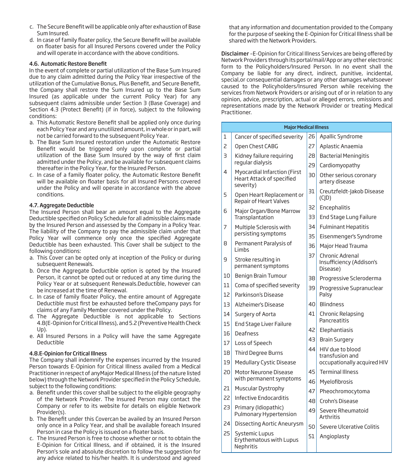- c. The Secure Benefit will be applicable only after exhaustion of Base Sum Insured.
- d. In case of family floater policy, the Secure Benefit will be available on floater basis for all Insured Persons covered under the Policy and will operate in accordance with the above conditions.

#### 4.6. Automatic Restore Benet

In the event of complete or partial utilization of the Base Sum Insured due to any claim admitted during the Policy Year irrespective of the utilization of the Cumulative Bonus, Plus Benefit, and Secure Benefit, the Company shall restore the Sum Insured up to the Base Sum Insured (as applicable under the current Policy Year) for any subsequent claims admissible under Section 3 (Base Coverage) and Section 4.3 (Protect Benefit) (if in force), subject to the following conditions:

- a. This Automatic Restore Benefit shall be applied only once during each Policy Year and any unutilized amount, in whole or in part, will not be carried forward to the subsequent Policy Year.
- b. The Base Sum Insured restoration under the Automatic Restore Benefit would be triggered only upon complete or partial utilization of the Base Sum Insured by the way of first claim admitted under the Policy, and be available for subsequent claims thereafter in the Policy Year, for the Insured Person.
- c. In case of a family floater policy, the Automatic Restore Benefit will be available on floater basis for all Insured Persons covered under the Policy and will operate in accordance with the above conditions.

#### 4.7. Aggregate Deductible

The Insured Person shall bear an amount equal to the Aggregate Deductible specified on Policy Schedule for all admissible claims made by the Insured Person and assessed by the Company in a Policy Year. The liability of the Company to pay the admissible claim under that Policy Year will commence only once the specified Aggregate Deductible has been exhausted. This Cover shall be subject to the following conditions:

- a. This Cover can be opted only at inception of the Policy or during subsequent Renewals.
- b. Once the Aggregate Deductible option is opted by the Insured Person, it cannot be opted out or reduced at any time during the Policy Year or at subsequent Renewals.Deductible, however can be increased at the time of Renewal.
- c. In case of family floater Policy, the entire amount of Aggregate Deductible must first be exhausted before theCompany pays for claims of any Family Member covered under the Policy.
- d. The Aggregate Deductible is not applicable to Sections 4.8(E-Opinion for Critical Illness), and 5.2 (Preventive Health Check Up).
- e. All Insured Persons in a Policy will have the same Aggregate Deductible

#### 4.8. E-Opinion for Critical Illness

The Company shall indemnify the expenses incurred by the Insured Person towards E-Opinion for Critical Illness availed from a Medical Practitioner in respect of anyMajor Medical Illness (of the nature listed below) through the Network Provider specified in the Policy Schedule, subject to the following conditions:

- a. Benefit under this cover shall be subject to the eligible geography of the Network Provider. The Insured Person may contact the Company or refer to its website for details on eligible Network Provider(s).
- b. The Benefit under this Covercan be availed by an Insured Person only once in a Policy Year, and shall be available foreach Insured Person in case the Policy is issued on a floater basis.
- c. The Insured Person is free to choose whether or not to obtain the E-Opinion for Critical Illness, and if obtained, it is the Insured Person's sole and absolute discretion to follow the suggestion for any advice related to his/her health. It is understood and agreed

that any information and documentation provided to the Company for the purpose of seeking the E-Opinion for Critical Illness shall be shared with the Network Providers.

Disclaimer -E-Opinion for Critical Illness Services are being offered by Network Providers through its portal/mail/App or any other electronic form to the Policyholders/Insured Person. In no event shall the Company be liable for any direct, indirect, punitive, incidental, special,or consequential damages or any other damages whatsoever caused to the Policyholders/Insured Person while receiving the services from Network Providers or arising out of or in relation to any opinion, advice, prescription, actual or alleged errors, omissions and representations made by the Network Provider or treating Medical Practitioner.

|    | <b>Major Medical Illness</b>                                                         |    |                                                         |  |  |  |
|----|--------------------------------------------------------------------------------------|----|---------------------------------------------------------|--|--|--|
| 1  | Cancer of specified severity                                                         | 26 | Apallic Syndrome                                        |  |  |  |
| 2  | Open Chest CABG                                                                      | 27 | Aplastic Anaemia                                        |  |  |  |
| 3  | Kidney failure reguiring                                                             | 28 | <b>Bacterial Meningitis</b>                             |  |  |  |
|    | regular dialysis                                                                     | 29 | Cardiomyopathy                                          |  |  |  |
| 4  | <b>Myocardial Infarction (First</b><br><b>Heart Attack of specified</b><br>severity) | 30 | Other serious coronary<br>artery disease                |  |  |  |
| 5  | Open Heart Replacement or<br><b>Repair of Heart Valves</b>                           | 31 | Creutzfeldt-Jakob Disease<br>(C D)                      |  |  |  |
| 6  | Major Organ/Bone Marrow                                                              | 32 | Encephalitis                                            |  |  |  |
|    | Transplantation                                                                      | 33 | End Stage Lung Failure                                  |  |  |  |
| 7  | Multiple Sclerosis with                                                              | 34 | <b>Fulminant Hepatitis</b>                              |  |  |  |
|    | persisting symptoms                                                                  | 35 | Eisenmenger's Syndrome                                  |  |  |  |
| 8  | Permanent Paralysis of<br>Limbs                                                      | 36 | Major Head Trauma                                       |  |  |  |
| 9  | Stroke resulting in<br>permanent symptoms                                            | 37 | Chronic Adrenal<br>Insufficiency (Addison's<br>Disease) |  |  |  |
| 10 | Benign Brain Tumour                                                                  | 38 | Progressive Scleroderma                                 |  |  |  |
| 11 | Coma of specified severity                                                           | 39 | Progressive Supranuclear                                |  |  |  |
| 12 | Parkinson's Disease                                                                  |    | Palsy                                                   |  |  |  |
| 13 | Alzheimer's Disease                                                                  | 40 | <b>Blindness</b>                                        |  |  |  |
| 14 | Surgery of Aorta                                                                     | 41 | Chronic Relapsing                                       |  |  |  |
| 15 | End Stage Liver Failure                                                              |    | Pancreatitis                                            |  |  |  |
| 16 | Deafness                                                                             | 42 | Elephantiasis                                           |  |  |  |
| 17 | Loss of Speech                                                                       | 43 | <b>Brain Surgery</b>                                    |  |  |  |
| 18 | <b>Third Degree Burns</b>                                                            | 44 | HIV due to blood<br>transfusion and                     |  |  |  |
| 19 | <b>Medullary Cystic Disease</b>                                                      |    | occupationally acquired HIV                             |  |  |  |
| 20 | Motor Neurone Disease                                                                | 45 | <b>Terminal Illness</b>                                 |  |  |  |
|    | with permanent symptoms                                                              | 46 | Myelofibrosis                                           |  |  |  |
| 21 | Muscular Dystrophy                                                                   | 47 | Pheochromocytoma                                        |  |  |  |
| 22 | Infective Endocarditis                                                               | 48 | Crohn's Disease                                         |  |  |  |
| 23 | Primary (Idiopathic)<br>Pulmonary Hypertension                                       | 49 | Severe Rheumatoid<br><b>Arthritis</b>                   |  |  |  |
| 24 | Dissecting Aortic Aneurysm                                                           | 50 | Severe Ulcerative Colitis                               |  |  |  |
| 25 | <b>Systemic Lupus</b><br>Erythematous with Lupus<br><b>Nephritis</b>                 | 51 | Angioplasty                                             |  |  |  |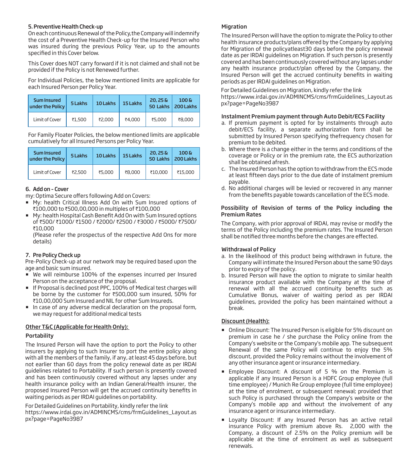## 5. Preventive Health Check-up

On each continuous Renewal of the Policy,the Company will indemnify the cost of a Preventive Health Check-up for the Insured Person who was insured during the previous Policy Year, up to the amounts specified in this Cover below.

This Cover does NOT carry forward if it is not claimed and shall not be provided if the Policy is not Renewed further.

For Individual Policies, the below mentioned limits are applicable for each Insured Person per Policy Year.

| Sum Insured<br>under the Policy | 5 Lakhs | 10 Lakhs | 15 Lakhs | $20.25\,\mathrm{g}$ | $100\,\mathrm{V}$<br>50 Lakhs   200 Lakhs |
|---------------------------------|---------|----------|----------|---------------------|-------------------------------------------|
| Limit of Cover                  | ₹1,500  | ₹2,000   | ₹4,000   | ₹5,000              | ₹8,000                                    |

For Family Floater Policies, the below mentioned limits are applicable cumulatively for all Insured Persons per Policy Year.

| Sum Insured<br>under the Policy | 5 Lakhs | 10 Lakhs | 15 Lakhs | $20.25\,\mathrm{g}$ | $100\,\mathrm{V}$<br>50 Lakhs   200 Lakhs |
|---------------------------------|---------|----------|----------|---------------------|-------------------------------------------|
| Limit of Cover                  | ₹2,500  | ₹5,000   | ₹8,000   | ₹10,000             | ₹15,000                                   |

# 6. Add on – Cover

my: Optima Secure offers following Add on Covers:

- My: health Critical Illness Add On with Sum Insured options of ₹100,000 to ₹500,00,000 in multiples of ₹100,000
- My: health Hospital Cash Benefit Add On with Sum Insured options of ₹500/ ₹1000/ ₹1500 / ₹2000/ ₹2500 / ₹3000 / ₹5000/ ₹7500/ `10,000

 (Please refer the prospectus of the respective Add Ons for more details)

# 7. Pre Policy Check up

Pre-Policy Check-up at our network may be required based upon the age and basic sum insured.

- We will reimburse 100% of the expenses incurred per Insured Person on the acceptance of the proposal.
- If Proposal is declined post PPC, 100% of Medical test charges will be borne by the customer for ₹500,000 sum insured, 50% for ₹10,00,000 Sum Insured and NIL for other Sum Insureds.
- In case of any adverse medical declaration on the proposal form, we may request for additional medical tests

# Other T&C (Applicable for Health Only):

#### Portability

The Insured Person will have the option to port the Policy to other insurers by applying to such Insurer to port the entire policy along with all the members of the family, if any, at least 45 days before, but not earlier than 60 days from the policy renewal date as per IRDAI guidelines related to Portability. If such person is presently covered and has been continuously covered without any lapses under any health insurance policy with an Indian General/Health insurer, the proposed Insured Person will get the accrued continuity benefits in waiting periods as per IRDAI guidelines on portability.

For Detailed Guidelines on Portability, kindly refer the link https://www.irdai.gov.in/ADMINCMS/cms/frmGuidelines\_Layout.as px?page=PageNo3987

#### Migration

The Insured Person will have the option to migrate the Policy to other health insurance products/plans offered by the Company by applying for Migration of the policyatleast30 days before the policy renewal date as per IRDAI guidelines on Migration. If such person is presently covered and has been continuously covered without any lapses under any health insurance product/plan offered by the Company, the Insured Person will get the accrued continuity benefits in waiting periods as per IRDAI guidelines on Migration.

For Detailed Guidelines on Migration, kindly refer the link https://www.irdai.gov.in/ADMINCMS/cms/frmGuidelines\_Layout.as px?page=PageNo3987

#### Instalment Premium payment through Auto Debit/ECS Facility

- a. If premium payment is opted for by instalments through auto debit/ECS facility, a separate authorization form shall be submitted by Insured Person specifying thefrequency chosen for premium to be debited.
- b. Where there is a change either in the terms and conditions of the coverage or Policy or in the premium rate, the ECS authorization shall be obtained afresh.
- c. The Insured Person has the option to withdraw from the ECS mode at least fifteen days prior to the due date of instalment premium payable.
- d. No additional charges will be levied or recovered in any manner from the benefits payable towards cancellation of the ECS mode.

#### Possibility of Revision of terms of the Policy including the Premium Rates

The Company, with prior approval of IRDAI, may revise or modify the terms of the Policy including the premium rates. The Insured Person shall be notified three months before the changes are effected.

#### Withdrawal of Policy

- a. In the likelihood of this product being withdrawn in future, the Company will intimate the Insured Person about the same 90 days prior to expiry of the policy.
- b. Insured Person will have the option to migrate to similar health insurance product available with the Company at the time of renewal with all the accrued continuity benefits such as Cumulative Bonus, waiver of waiting period as per IRDAI guidelines, provided the policy has been maintained without a break.

# Discount (Health):

- Online Discount: The Insured Person is eligible for 5% discount on premium in case he / she purchase the Policy online from the Company's website or the Company's mobile app. The subsequent Renewal of the same Policy will continue to enjoy the 5% discount, provided the Policy remains without the involvement of any other insurance agent or insurance intermediary.
- Employee Discount: A discount of 5 % on the Premium is applicable if any Insured Person is a HDFC Group employee (full time employee) / Munich Re Group employee (full time employee) at the time of enrolment, or subsequent renewal; provided that such Policy is purchased through the Company's website or the Company's mobile app and without the involvement of any insurance agent or insurance intermediary.
- **E** Loyalty Discount: If any Insured Person has an active retail insurance Policy with premium above Rs. 2,000 with the Company, a discount of 2.5% on the Policy premium will be applicable at the time of enrolment as well as subsequent renewals.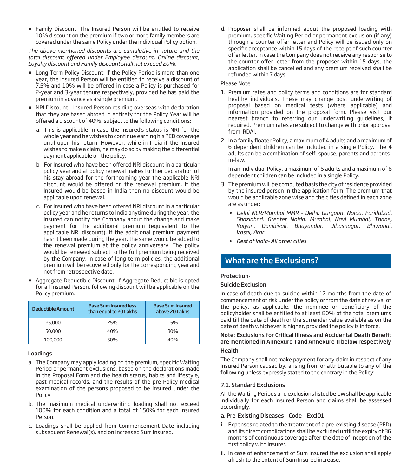Family Discount: The Insured Person will be entitled to receive 10% discount on the premium if two or more family members are covered under the same Policy under the individual Policy option.

*The above mentioned discounts are cumulative in nature and the*  total discount offered under Employee discount, Online discount, *Loyalty discount and Family discount shall not exceed 20%.*

- **EX Long Term Policy Discount: If the Policy Period is more than one** year, the Insured Person will be entitled to receive a discount of 7.5% and 10% will be offered in case a Policy is purchased for 2-year and 3-year tenure respectively, provided he has paid the premium in advance as a single premium.
- NRI Discount Insured Person residing overseas with declaration that they are based abroad in entirety for the Policy Year will be offered a discount of 40%, subject to the following conditions:
	- a. This is applicable in case the Insured's status is NRI for the whole year and he wishes to continue earning his PED coverage until upon his return. However, while in India if the Insured wishes to make a claim, he may do so by making the differential payment applicable on the policy.
	- b. For Insured who have been offered NRI discount in a particular policy year and at policy renewal makes further declaration of his stay abroad for the forthcoming year the applicable NRI discount would be offered on the renewal premium. If the Insured would be based in India then no discount would be applicable upon renewal.
	- c. For Insured who have been offered NRI discount in a particular policy year and he returns to India anytime during the year, the Insured can notify the Company about the change and make payment for the additional premium (equivalent to the applicable NRI discount). If the additional premium payment hasn't been made during the year, the same would be added to the renewal premium at the policy anniversary. The policy would be renewed subject to the full premium being received by the Company. In case of long term policies, the additional premium will be recovered only for the corresponding year and not from retrospective date.
- Aggregate Deductible Discount: If Aggregate Deductible is opted for all Insured Person, following discount will be applicable on the Policy premium.

| Deductible Amount | <b>Base Sum Insured less</b><br>than equal to 20 Lakhs | <b>Base Sum Insured</b><br>above 20 Lakhs |
|-------------------|--------------------------------------------------------|-------------------------------------------|
| 25,000            | 25%                                                    | 15%                                       |
| 50,000            | 40%                                                    | 30%                                       |
| 100,000           | 50%                                                    | 40%                                       |

# Loadings

- a. The Company may apply loading on the premium, specific Waiting Period or permanent exclusions, based on the declarations made in the Proposal Form and the health status, habits and lifestyle, past medical records, and the results of the pre-Policy medical examination of the persons proposed to be insured under the Policy.
- b. The maximum medical underwriting loading shall not exceed 100% for each condition and a total of 150% for each Insured Person.
- c. Loadings shall be applied from Commencement Date including subsequent Renewal(s), and on increased Sum Insured.

d. Proposer shall be informed about the proposed loading with premium, specific Waiting Period or permanent exclusion (if any) through a counter offer letter and Policy will be issued only on specific acceptance within 15 days of the receipt of such counter offer letter. In case the Company does not receive any response to the counter offer letter from the proposer within 15 days, the application shall be cancelled and any premium received shall be refunded within 7 days.

## Please Note

- 1. Premium rates and policy terms and conditions are for standard healthy individuals. These may change post underwriting of proposal based on medical tests (where applicable) and information provided on the proposal form. Please visit our nearest branch to referring our underwriting guidelines, if required. Premium rates are subject to change with prior approval from IRDAI.
- 2. In a family floater Policy, a maximum of 4 adults and a maximum of 6 dependent children can be included in a single Policy. The 4 adults can be a combination of self, spouse, parents and parentsin-law.

 In an individual Policy, a maximum of 6 adults and a maximum of 6 dependent children can be included in a single Policy.

- 3. The premium will be computed basis the city of residence provided by the insured person in the application form. The premium that would be applicable zone wise and the cities defined in each zone are as under:
	- *Delhi NCR/Mumbai MMR Delhi, Gurgaon, Noida, Faridabad, Ghaziabad, Greater Noida, Mumbai, Navi Mumbai, Thane, Kalyan, Dombivali, Bhayandar, Ulhasnagar, Bhiwandi, Vasai,Virar*
	- *Rest of India- All other cities*

# What are the Exclusions?

# Protection-

# Suicide Exclusion

In case of death due to suicide within 12 months from the date of commencement of risk under the policy or from the date of revival of the policy, as applicable, the nominee or beneficiary of the policyholder shall be entitled to at least 80% of the total premiums paid till the date of death or the surrender value available as on the date of death whichever is higher, provided the policy is in force.

# Note: Exclusions for Critical Illness and Accidental Death Benet are mentioned in Annexure-I and Annexure-II below respectively

#### Health-

The Company shall not make payment for any claim in respect of any Insured Person caused by, arising from or attributable to any of the following unless expressly stated to the contrary in the Policy:

# 7.1. Standard Exclusions

All the Waiting Periods and exclusions listed below shall be applicable individually for each Insured Person and claims shall be assessed accordingly.

# a. Pre-Existing Diseases – Code – Excl01

- i. Expenses related to the treatment of a pre-existing disease (PED) and its direct complications shall be excluded until the expiry of 36 months of continuous coverage after the date of inception of the first policy with insurer.
- ii. In case of enhancement of Sum Insured the exclusion shall apply afresh to the extent of Sum Insured increase.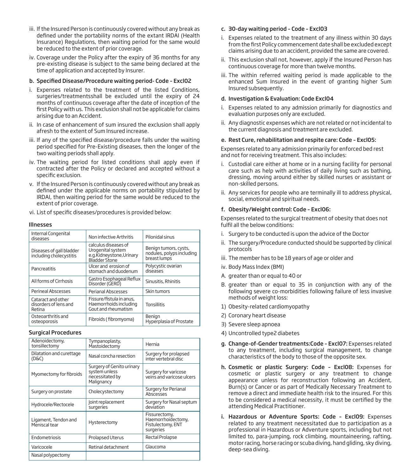- iii. If the Insured Person is continuously covered without any break as defined under the portability norms of the extant IRDAI (Health Insurance) Regulations, then waiting period for the same would be reduced to the extent of prior coverage.
- iv. Coverage under the Policy after the expiry of 36 months for any pre-existing disease is subject to the same being declared at the time of application and accepted by Insurer.

#### b. Specified Disease/Procedure waiting period-Code - Excl02

- i. Expenses related to the treatment of the listed Conditions, surgeries/treatmentsshall be excluded until the expiry of 24 months of continuous coverage after the date of inception of the first Policy with us. This exclusion shall not be applicable for claims arising due to an Accident.
- ii. In case of enhancement of sum insured the exclusion shall apply afresh to the extent of Sum Insured increase.
- iii. If any of the specified disease/procedure falls under the waiting period specified for Pre-Existing diseases, then the longer of the two waiting periods shall apply.
- iv. The waiting period for listed conditions shall apply even if contracted after the Policy or declared and accepted without a specific exclusion.
- v. If the Insured Person is continuously covered without any break as defined under the applicable norms on portability stipulated by IRDAI, then waiting period for the same would be reduced to the extent of prior coverage.
- vi. List of specific diseases/procedures is provided below:

#### Illnesses

| Internal Congenital<br>diseases                       | Non infective Arthritis                                                               | Pilonidal sinus                                                    |
|-------------------------------------------------------|---------------------------------------------------------------------------------------|--------------------------------------------------------------------|
| Diseases of gall bladder<br>including cholecystitis   | calculus diseases of<br>Urogenital system<br>e.g.Kidneystone,Urinary<br>Blädder Stone | Benign tumors, cysts,<br>nodules, polyps including<br>breast lumps |
| Pancreatitis                                          | Ulcer and erosion of<br>stomach and duodenum                                          | Polycystic ovarian<br>diseases                                     |
| All forms of Cirrhosis                                | Gastro Esophageal Reflux<br>Disorder (GERD)                                           | Sinusitis, Rhinitis                                                |
| Perineal Abscesses                                    | Perianal Abscesses                                                                    | Skin tumors                                                        |
| Cataract and other<br>disorders of lens and<br>Retina | Fissure/fistula in anus.<br>Haemorrhoids including<br>Gout and rheumatism             | <b>Tonsillitis</b>                                                 |
| Osteoarthritis and<br>osteoporosis                    | Fibroids (fibromyoma)                                                                 | Benign<br>Hyperplasia of Prostate                                  |

#### Surgical Procedures

| Adenoidectomy,<br>tonsillectomy       | Tympanoplasty,<br>Mastoidectomy                                             | Hernia                                                                |  |  |
|---------------------------------------|-----------------------------------------------------------------------------|-----------------------------------------------------------------------|--|--|
| Dilatation and curettage<br>(D&C)     | Nasal concha resection                                                      | Surgery for prolapsed<br>inter vertebral disc                         |  |  |
| Myomectomy for fibroids               | Surgery of Genito urinary<br>system unless<br>necessitated by<br>Malignancy | Surgery for varicose<br>veins and varicose ulcers                     |  |  |
| Surgery on prostate                   | Cholecystectomy                                                             | Surgery for Perianal<br>Abscesses                                     |  |  |
| Hydrocele/Rectocele                   | Joint replacement<br>surgeries                                              | Surgery for Nasal septum<br>deviation                                 |  |  |
| Ligament, Tendon and<br>Meniscal tear | Hysterectomy                                                                | Fissurectomy,<br>Haemorrhoidectomy,<br>Fistulectomy, ENT<br>surgeries |  |  |
| Endometriosis                         | Prolapsed Uterus                                                            | <b>Rectal Prolapse</b>                                                |  |  |
| Varicocele                            | Retinal detachment                                                          | Glaucoma                                                              |  |  |
| Nasal polypectomy                     |                                                                             |                                                                       |  |  |

#### c. 30-day waiting period – Code – Excl03

- i. Expenses related to the treatment of any illness within 30 days from the first Policy commencement date shall be excluded except claims arising due to an accident, provided the same are covered.
- ii. This exclusion shall not, however, apply if the Insured Person has continuous coverage for more than twelve months.
- iii. The within referred waiting period is made applicable to the enhanced Sum Insured in the event of granting higher Sum Insured subsequently.

#### d. Investigation & Evaluation: Code Excl04

- i. Expenses related to any admission primarily for diagnostics and evaluation purposes only are excluded.
- ii. Any diagnostic expenses which are not related or not incidental to the current diagnosis and treatment are excluded.

#### e. Rest Cure, rehabilitation and respite care: Code – Excl05:

Expenses related to any admission primarily for enforced bed rest and not for receiving treatment. This also includes:

- i. Custodial care either at home or in a nursing facility for personal care such as help with activities of daily living such as bathing, dressing, moving around either by skilled nurses or assistant or non-skilled persons.
- ii. Any services for people who are terminally ill to address physical, social, emotional and spiritual needs.

#### f. Obesity/Weight control: Code – Excl06:

Expenses related to the surgical treatment of obesity that does not fulfil all the below conditions:

- i. Surgery to be conducted is upon the advice of the Doctor
- ii. The surgery/Procedure conducted should be supported by clinical protocols
- iii. The member has to be 18 years of age or older and
- iv. Body Mass Index (BMI)
- A. greater than or equal to 40 or
- B. greater than or equal to 35 in conjunction with any of the following severe co-morbidities following failure of less invasive methods of weight loss:
- 1) Obesity-related cardiomyopathy
- 2) Coronary heart disease
- 3) Severe sleep apnoea
- 4) Uncontrolled type2 diabetes
- g. Change-of-Gender treatments:Code Excl07: Expenses related to any treatment, including surgical management, to change characteristics of the body to those of the opposite sex.
- h. Cosmetic or plastic Surgery: Code Excl08: Expenses for cosmetic or plastic surgery or any treatment to change appearance unless for reconstruction following an Accident, Burn(s) or Cancer or as part of Medically Necessary Treatment to remove a direct and immediate health risk to the insured. For this to be considered a medical necessity, it must be certified by the attending Medical Practitioner.
- i. Hazardous or Adventure Sports: Code Excl09: Expenses related to any treatment necessitated due to participation as a professional in Hazardous or Adventure sports, including but not limited to, para-jumping, rock climbing, mountaineering, rafting, motor racing, horse racing or scuba diving, hand gliding, sky diving, deep-sea diving.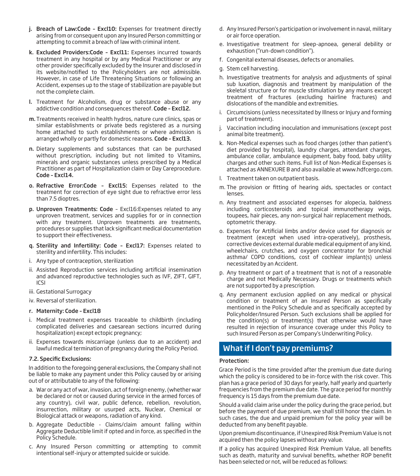- **i.** Breach of Law:Code Excl10: Expenses for treatment directly arising from or consequent upon any Insured Person committing or attempting to commit a breach of law with criminal intent.
- k. Excluded Providers:Code Excl11: Expenses incurred towards treatment in any hospital or by any Medical Practitioner or any other provider specifically excluded by the Insurer and disclosed in its website/notified to the Policyholders are not admissible. However, in case of Life Threatening Situations or following an Accident, expenses up to the stage of stabilization are payable but not the complete claim.
- l. Treatment for Alcoholism, drug or substance abuse or any addictive condition and consequences thereof. Code - Excl12.
- m. Treatments received in health hydros, nature cure clinics, spas or similar establishments or private beds registered as a nursing home attached to such establishments or where admission is arranged wholly or partly for domestic reasons. Code - Excl13.
- n. Dietary supplements and substances that can be purchased without prescription, including but not limited to Vitamins, minerals and organic substances unless prescribed by a Medical Practitioner as part of Hospitalization claim or Day Careprocedure. Code – Excl14.
- o. Refractive Error:Code Excl15: Expenses related to the treatment for correction of eye sight due to refractive error less than 7.5 dioptres.
- p. Unproven Treatments: Code Excl16:Expenses related to any unproven treatment, services and supplies for or in connection with any treatment. Unproven treatments are treatments, procedures or supplies that lack significant medical documentation to support their effectiveness.
- q. Sterility and Infertility: Code Excl17: Expenses related to sterility and infertility. This includes:
- i. Any type of contraception, sterilization
- ii. Assisted Reproduction services including artificial insemination and advanced reproductive technologies such as IVF, ZIFT, GIFT, ICSI
- iii. Gestational Surrogacy
- iv. Reversal of sterilization.

#### r. Maternity: Code – Excl18

- i. Medical treatment expenses traceable to childbirth (including complicated deliveries and caesarean sections incurred during hospitalization) except ectopic pregnancy;
- ii. Expenses towards miscarriage (unless due to an accident) and lawful medical termination of pregnancy during the Policy Period.

#### 7.2. Specific Exclusions:

In addition to the foregoing general exclusions, the Company shall not be liable to make any payment under this Policy caused by or arising out of or attributable to any of the following:

- a. War or any act of war, invasion, act of foreign enemy, (whether war be declared or not or caused during service in the armed forces of any country), civil war, public defence, rebellion, revolution, insurrection, military or usurped acts, Nuclear, Chemical or Biological attack or weapons, radiation of any kind.
- b. Aggregate Deductible Claims/claim amount falling within Aggregate Deductible limit if opted and in force, as specified in the Policy Schedule.
- c. Any Insured Person committing or attempting to commit intentional self-injury or attempted suicide or suicide.
- d. Any Insured Person's participation or involvement in naval, military or air force operation.
- e. Investigative treatment for sleep-apnoea, general debility or exhaustion ("run-down condition").
- f. Congenital external diseases, defects or anomalies.
- g. Stem cell harvesting.
- h. Investigative treatments for analysis and adjustments of spinal sub luxation, diagnosis and treatment by manipulation of the skeletal structure or for muscle stimulation by any means except treatment of fractures (excluding hairline fractures) and dislocations of the mandible and extremities.
- i. Circumcisions (unless necessitated by Illness or Injury and forming part of treatment).
- j. Vaccination including inoculation and immunisations (except post animal bite treatment).
- k. Non-Medical expenses such as food charges (other than patient's diet provided by hospital), laundry charges, attendant charges, ambulance collar, ambulance equipment, baby food, baby utility charges and other such items. Full list of Non-Medical Expenses is attached as ANNEXURE B and also available at www.hdfcergo.com.
- l. Treatment taken on outpatient basis.
- m. The provision or fitting of hearing aids, spectacles or contact lenses.
- n. Any treatment and associated expenses for alopecia, baldness including corticosteroids and topical immunotherapy wigs, toupees, hair pieces, any non-surgical hair replacement methods, optometric therapy.
- o. Expenses for Artificial limbs and/or device used for diagnosis or treatment (except when used intra-operatively), prosthesis, corrective devices external durable medical equipment of any kind, wheelchairs, crutches, and oxygen concentrator for bronchial asthma/ COPD conditions, cost of cochlear implant(s) unless necessitated by an Accident.
- p. Any treatment or part of a treatment that is not of a reasonable charge and not Medically Necessary. Drugs or treatments which are not supported by a prescription.
- q. Any permanent exclusion applied on any medical or physical condition or treatment of an Insured Person as specifically mentioned in the Policy Schedule and as specifically accepted by Policyholder/Insured Person. Such exclusions shall be applied for the condition(s) or treatment(s) that otherwise would have resulted in rejection of insurance coverage under this Policy to such Insured Person as per Company's Underwriting Policy.

# What if I don't pay premiums?

#### Protection:

Grace Period is the time provided after the premium due date during which the policy is considered to be in-force with the risk cover. This plan has a grace period of 30 days for yearly, half yearly and quarterly frequencies from the premium due date. The grace period for monthly frequency is 15 days from the premium due date.

Should a valid claim arise under the policy during the grace period, but before the payment of due premium, we shall still honor the claim. In such cases, the due and unpaid premium for the policy year will be deducted from any benefit payable.

Upon premium discontinuance, if Unexpired Risk Premium Value is not acquired then the policy lapses without any value.

If a policy has acquired Unexpired Risk Premium Value, all benefits such as death, maturity and survival benefits, whether ROP benefit has been selected or not, will be reduced as follows: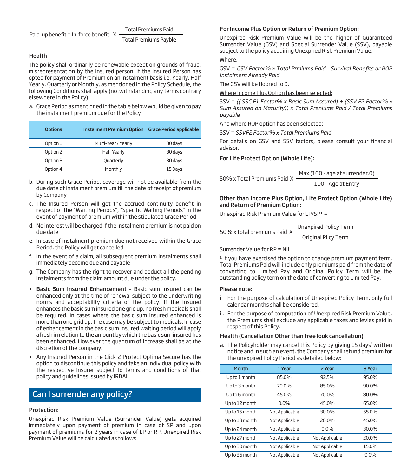#### Total Premiums Paid

Paid-up benefit = In-force benefit  $X$ Total Premiums Payble

# Health-

The policy shall ordinarily be renewable except on grounds of fraud, misrepresentation by the insured person. If the Insured Person has opted for payment of Premium on an instalment basis i.e. Yearly, Half Yearly, Quarterly or Monthly, as mentioned in the Policy Schedule, the following Conditions shall apply (notwithstanding any terms contrary elsewhere in the Policy):

a. Grace Period as mentioned in the table below would be given to pay the instalment premium due for the Policy

| <b>Options</b> | <b>Instalment Premium Option</b> | <b>Grace Period applicable</b> |  |  |  |
|----------------|----------------------------------|--------------------------------|--|--|--|
| Option 1       | Multi-Year / Yearly              | 30 days                        |  |  |  |
| Option 2       | <b>Half Yearly</b>               | 30 days                        |  |  |  |
| Option 3       | Quarterly                        | 30 days                        |  |  |  |
| Option 4       | Monthly                          | 15 Days                        |  |  |  |

- b. During such Grace Period, coverage will not be available from the due date of instalment premium till the date of receipt of premium by Company
- c. The Insured Person will get the accrued continuity benefit in respect of the "Waiting Periods", "Specific Waiting Periods" in the event of payment of premium within the stipulated Grace Period
- d. No interest will be charged If the instalment premium is not paid on due date
- e. In case of instalment premium due not received within the Grace Period, the Policy will get cancelled
- f. In the event of a claim, all subsequent premium instalments shall immediately become due and payable
- g. The Company has the right to recover and deduct all the pending instalments from the claim amount due under the policy.
- Basic Sum Insured Enhancement Basic sum insured can be enhanced only at the time of renewal subject to the underwriting norms and acceptability criteria of the policy. If the insured enhances the basic sum insured one grid up, no fresh medicals shall be required. In cases where the basic sum insured enhanced is more than one grid up, the case may be subject to medicals. In case of enhancement in the basic sum insured waiting period will apply afresh in relation to the amount by which the basic sum insured has been enhanced. However the quantum of increase shall be at the discretion of the company.
- Any Insured Person in the Click 2 Protect Optima Secure has the option to discontinue this policy and take an individual policy with the respective Insurer subject to terms and conditions of that policy and guidelines issued by IRDAI

# Can I surrender any policy?

# Protection:

Unexpired Risk Premium Value (Surrender Value) gets acquired immediately upon payment of premium in case of SP and upon payment of premiums for 2 years in case of LP or RP. Unexpired Risk Premium Value will be calculated as follows:

## For Income Plus Option or Return of Premium Option:

Unexpired Risk Premium Value will be the higher of Guaranteed Surrender Value (GSV) and Special Surrender Value (SSV), payable subject to the policy acquiring Unexpired Risk Premium Value.

# Where,

GSV = GSV Factor% x Total Prmiums Paid - Survival Benefits or ROP *Instalment Already Paid*

The GSV will be floored to 0.

#### Where Income Plus Option has been selected:

SSV = *(( SSC F1 Factor% x Basic Sum Assured) + (SSV F2 Factor% x Sum Assured on Maturity)) x Total Preniums Paid / Total Premiums payable*

#### And where ROP option has been selected:

SSV = *SSVF2 Factor% x Total Premiums Paid*

For details on GSV and SSV factors, please consult your financial advisor.

# For Life Protect Option (Whole Life):

| 50% x Total Premiums Paid $\,$ X $\,$ | Max (100 - age at surrender, 0) |  |  |  |
|---------------------------------------|---------------------------------|--|--|--|
|                                       | 100 - Age at Entry              |  |  |  |

#### Other than Income Plus Option, Life Protect Option (Whole Life) and Return of Premium Option:

Unexpired Risk Premium Value for LP/SP1 =

50% x total premiums Paid X Unexpired Policy Term Original Plicy Term

#### Surrender Value for RP = Nil

<sup>1</sup> If you have exercised the option to change premium payment term, Total Premiums Paid will include only premiums paid from the date of converting to Limited Pay and Original Policy Term will be the outstanding policy term on the date of converting to Limited Pay.

# Please note:

- i. For the purpose of calculation of Unexpired Policy Term, only full calendar months shall be considered.
- ii. For the purpose of computation of Unexpired Risk Premium Value, the Premiums shall exclude any applicable taxes and levies paid in respect of this Policy.

#### Health (Cancellation Other than free look cancellation)

a. The Policyholder may cancel this Policy by giving 15 days' written notice and in such an event, the Company shall refund premium for the unexpired Policy Period as detailed below:

| <b>Month</b>   | 1 Year         | 2 Year         | 3 Year  |
|----------------|----------------|----------------|---------|
| Up to 1 month  | 85.0%          | 92.5%          | 95.0%   |
| Up to 3 month  | 70.0%          | 85.0%          | 90.0%   |
| Up to 6 month  | 45.0%          | 70.0%          | 80.0%   |
| Up to 12 month | $0.0\%$        | 45.0%          | 65.0%   |
| Up to 15 month | Not Applicable | 30.0%          | 55.0%   |
| Up to 18 month | Not Applicable | 20.0%          | 45.0%   |
| Up to 24 month | Not Applicable | $0.0\%$        | 30.0%   |
| Up to 27 month | Not Applicable | Not Applicable | 20.0%   |
| Up to 30 month | Not Applicable | Not Applicable | 15.0%   |
| Up to 36 month | Not Applicable | Not Applicable | $0.0\%$ |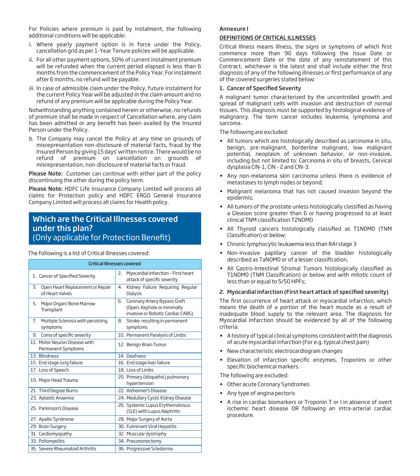For Policies where premium is paid by instalment, the following additional conditions will be applicable:

- i. Where yearly payment option is in force under the Policy, cancellation grid as per 1-Year Tenure policies will be applicable.
- ii. For all other payment options, 50% of current instalment premium will be refunded when the current period elapsed is less than 6 months from the commencement of the Policy Year. For instalment after 6 months, no refund will be payable.
- iii. In case of admissible claim under the Policy, future instalment for the current Policy Year will be adjusted in the claim amount and no refund of any premium will be applicable during the Policy Year.

Notwithstanding anything contained herein or otherwise, no refunds of premium shall be made in respect of Cancellation where, any claim has been admitted or any benefit has been availed by the Insured Person under the Policy.

b. The Company may cancel the Policy at any time on grounds of misrepresentation non-disclosure of material facts, fraud by the Insured Person by giving 15 days' written notice. There would be no refund of premium on cancellation on grounds of misrepresentation, non-disclosure of material facts or fraud.

Please Note: Customer can continue with either part of the policy discontinuing the other during the policy term.

Please Note: HDFC Life Insurance Company Limited will process all claims for Protection policy and HDFC ERGO General Insurance Company Limited will process all claims for Health policy.

# Which are the Critical Illnesses covered under this plan? (Only applicable for Protection Benefit)

The following is a list of Critical Illnesses covered:

|                                                           | <b>Critical Illnesses covered</b>                                                                      |
|-----------------------------------------------------------|--------------------------------------------------------------------------------------------------------|
| 1. Cancer of Specified Severity                           | Myocardial infarction - First heart<br>2.<br>attack of specific severity                               |
| 3.<br>Open Heart Replacement or Repair<br>of Heart Valves | Kidney Failure Requiring Regular<br>4.<br>Dialysis                                                     |
| Major Organ/Bone Marrow<br>5.<br>Transplant               | Coronary Artery Bypass Graft<br>6.<br>(Open, Keyhole or minimally<br>invasive or Robotic Cardiac CABG) |
| Multiple Sclerosis with persisting<br>7.<br>symptoms      | Stroke resulting in permanent<br>8.<br>symptoms                                                        |
| Coma of specific severity<br>9.                           | 10. Permanent Paralysis of Limbs                                                                       |
| 11. Motor Neuron Disease with<br>Permanent Symptoms       | 12. Benign Brain Tumor                                                                                 |
| 13. Blindness                                             | 14. Deafness                                                                                           |
| 15. End stage lung failure                                | 16. End stage liver failure                                                                            |
| 17. Loss of Speech                                        | 18. Loss of Limbs                                                                                      |
| 19. Major Head Trauma                                     | 20. Primary (idiopathic) pulmonary<br>hypertension                                                     |
| 21. Third Degree Burns                                    | 22. Alzheimer's Disease                                                                                |
| 23. Aplastic Anaemia                                      | 24. Medullary Cystic Kidney Disease                                                                    |
| 25. Parkinson's Disease                                   | 26. Systemic Lupus Erythematosus<br>(SLE) with Lupus Nephritis                                         |
| 27. Apallic Syndrome                                      | 28. Major Surgery of Aorta                                                                             |
| 29. Brain Surgery                                         | 30. Fulminant Viral Hepatitis                                                                          |
| 31. Cardiomyopathy                                        | 32. Muscular dystrophy                                                                                 |
| 33. Poliomyelitis                                         | 34. Pneumonectomy                                                                                      |
| 35. Severe Rheumatoid Arthritis                           | 36. Progressive Scledorma                                                                              |

# Annexure I

# DEFINITIONS OF CRITICAL ILLNESSES

Critical Illness means illness, the signs or symptoms of which first commence more than 90 days following the Issue Date or Commencement Date or the date of any reinstatement of this Contract, whichever is the latest and shall include either the first diagnosis of any of the following illnesses or first performance of any of the covered surgeries stated below:

# 1. Cancer of Specified Severity

A malignant tumor characterized by the uncontrolled growth and spread of malignant cells with invasion and destruction of normal tissues. This diagnosis must be supported by histological evidence of malignancy. The term cancer includes leukemia, lymphoma and sarcoma.

The following are excluded:

- All tumors which are histologically described as carcinoma in situ, benign, pre-malignant, borderline malignant, low malignant potential, neoplasm of unknown behavior, or non-invasive, including but not limited to: Carcinoma in situ of breasts, Cervical dysplasia CIN-1, CIN - 2 and CIN-3.
- Any non-melanoma skin carcinoma unless there is evidence of metastases to lymph nodes or beyond;
- Malignant melanoma that has not caused invasion beyond the epidermis;
- All tumors of the prostate unless histologically classified as having a Gleason score greater than 6 or having progressed to at least clinical TNM classification T2N0M0
- All Thyroid cancers histologically classified as T1N0M0 (TNM Classification) or below;
- Chronic lymphocytic leukaemia less than RAI stage 3
- Non-invasive papillary cancer of the bladder histologically described as TaNOMO or of a lesser classification.
- All Gastro-Intestinal Stromal Tumors histologically classified as T1N0M0 (TNM Classification) or below and with mitotic count of less than or equal to 5/50 HPFs;

# 2. Myocardial infarction (First heart attack of specified severity)

The first occurrence of heart attack or myocardial infarction, which means the death of a portion of the heart muscle as a result of inadequate blood supply to the relevant area. The diagnosis for Myocardial Infarction should be evidenced by all of the following criteria:

- A history of typical clinical symptoms consistent with the diagnosis of acute myocardial infarction (For e.g. typical chest pain)
- New characteristic electrocardiogram changes
- Elevation of infarction specific enzymes, Troponins or other specific biochemical markers.

The following are excluded:

- Other acute Coronary Syndromes
- Any type of angina pectoris
- A rise in cardiac biomarkers or Troponin T or I in absence of overt ischemic heart disease OR following an intra-arterial cardiac procedure.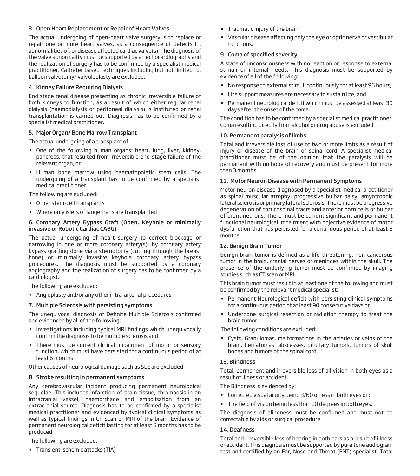# 3. Open Heart Replacement or Repair of Heart Valves

The actual undergoing of open-heart valve surgery is to replace or repair one or more heart valves, as a consequence of defects in, abnormalities of, or disease affected cardiac valve(s). The diagnosis of the valve abnormality must be supported by an echocardiography and the realization of surgery has to be confirmed by a specialist medical practitioner. Catheter based techniques including but not limited to, balloon valvotomy/ valvuloplasty are excluded.

# 4. Kidney Failure Requiring Dialysis

End stage renal disease presenting as chronic irreversible failure of both kidneys to function, as a result of which either regular renal dialysis (haemodialysis or peritoneal dialysis) is instituted or renal transplantation is carried out. Diagnosis has to be confirmed by a specialist medical practitioner.

# 5. Major Organ/ Bone Marrow Transplant

The actual undergoing of a transplant of:

- One of the following human organs: heart, lung, liver, kidney, pancreas, that resulted from irreversible end-stage failure of the relevant organ, or
- Human bone marrow using haematopoietic stem cells. The undergoing of a transplant has to be confirmed by a specialist medical practitioner.

The following are excluded:

- Other stem-cell transplants
- Where only islets of langerhans are transplanted

#### 6. Coronary Artery Bypass Graft (Open, Keyhole or minimally invasive or Robotic Cardiac CABG)

The actual undergoing of heart surgery to correct blockage or narrowing in one or more coronary artery(s), by coronary artery bypass grafting done via a sternotomy (cutting through the breast bone) or minimally invasive keyhole coronary artery bypass procedures. The diagnosis must be supported by a coronary angiography and the realization of surgery has to be confirmed by a cardiologist.

The following are excluded:

• Angioplasty and/or any other intra-arterial procedures

# 7. Multiple Sclerosis with persisting symptoms

The unequivocal diagnosis of Definite Multiple Sclerosis confirmed and evidenced by all of the following:

- Investigations including typical MRI findings which unequivocally confirm the diagnosis to be multiple sclerosis and
- There must be current clinical impairment of motor or sensory function, which must have persisted for a continuous period of at least 6 months.

Other causes of neurological damage such as SLE are excluded.

# 8. Stroke resulting in permanent symptoms

Any cerebrovascular incident producing permanent neurological sequelae. This includes infarction of brain tissue, thrombosis in an intracranial vessel, haemorrhage and embolisation from an extracranial source. Diagnosis has to be confirmed by a specialist medical practitioner and evidenced by typical clinical symptoms as well as typical findings in CT Scan or MRI of the brain. Evidence of permanent neurological deficit lasting for at least 3 months has to be produced.

The following are excluded:

• Transient ischemic attacks (TIA)

- Traumatic injury of the brain
- Vascular disease affecting only the eye or optic nerve or vestibular functions.

# 9. Coma of specified severity

A state of unconsciousness with no reaction or response to external stimuli or internal needs. This diagnosis must be supported by evidence of all of the following:

- No response to external stimuli continuously for at least 96 hours;
- Life support measures are necessary to sustain life; and
- $\bullet$  Permanent neurological deficit which must be assessed at least 30 days after the onset of the coma.

The condition has to be confirmed by a specialist medical practitioner. Coma resulting directly from alcohol or drug abuse is excluded.

#### 10. Permanent paralysis of limbs

Total and irreversible loss of use of two or more limbs as a result of injury or disease of the brain or spinal cord. A specialist medical practitioner must be of the opinion that the paralysis will be permanent with no hope of recovery and must be present for more than 3 months.

#### 11. Motor Neuron Disease with Permanent Symptoms

Motor neuron disease diagnosed by a specialist medical practitioner as spinal muscular atrophy, progressive bulbar palsy, amyotrophic lateral sclerosis or primary lateral sclerosis. There must be progressive degeneration of corticospinal tracts and anterior horn cells or bulbar efferent neurons. There must be current significant and permanent functional neurological impairment with objective evidence of motor dysfunction that has persisted for a continuous period of at least 3 months.

# 12. Benign Brain Tumor

Benign brain tumor is defined as a life threatening, non-cancerous tumor in the brain, cranial nerves or meninges within the skull. The presence of the underlying tumor must be confirmed by imaging studies such as CT scan or MRI.

This brain tumor must result in at least one of the following and must be confirmed by the relevant medical specialist:

- Permanent Neurological deficit with persisting clinical symptoms for a continuous period of at least 90 consecutive days or
- Undergone surgical resection or radiation therapy to treat the brain tumor.

The following conditions are excluded:

• Cysts, Granulomas, malformations in the arteries or veins of the brain, hematomas, abscesses, pituitary tumors, tumors of skull bones and tumors of the spinal cord.

# 13. Blindness

Total, permanent and irreversible loss of all vision in both eyes as a result of illness or accident.

The Blindness is evidenced by:

- Corrected visual acuity being 3/60 or less in both eyes or ;
- The field of vision being less than 10 degrees in both eyes.

The diagnosis of blindness must be confirmed and must not be correctable by aids or surgical procedure.

#### 14. Deafness

Total and irreversible loss of hearing in both ears as a result of illness or accident. This diagnosis must be supported by pure tone audiogram test and certified by an Ear, Nose and Throat (ENT) specialist. Total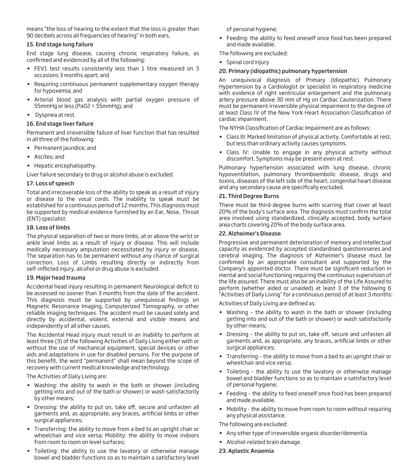means "the loss of hearing to the extent that the loss is greater than 90 decibels across all frequencies of hearing" in both ears.

#### 15. End stage lung failure

End stage lung disease, causing chronic respiratory failure, as confirmed and evidenced by all of the following:

- FEV1 test results consistently less than 1 litre measured on 3 occasions 3 months apart; and
- Requiring continuous permanent supplementary oxygen therapy for hypoxemia; and
- Arterial blood gas analysis with partial oxygen pressure of 55mmHg or less (PaO2 < 55mmHg); and
- Dyspnea at rest.

# 16. End stage liver failure

Permanent and irreversible failure of liver function that has resulted in all three of the following:

- Permanent jaundice; and
- Ascites; and
- Hepatic encephalopathy.

Liver failure secondary to drug or alcohol abuse is excluded.

#### 17. Loss of speech

Total and irrecoverable loss of the ability to speak as a result of injury or disease to the vocal cords. The inability to speak must be established for a continuous period of 12 months. This diagnosis must be supported by medical evidence furnished by an Ear, Nose, Throat (ENT) specialist.

# 18. Loss of limbs

The physical separation of two or more limbs, at or above the wrist or ankle level limbs as a result of injury or disease. This will include medically necessary amputation necessitated by injury or disease. The separation has to be permanent without any chance of surgical correction. Loss of Limbs resulting directly or indirectly from self-inflicted injury, alcohol or drug abuse is excluded.

#### 19. Major head trauma

Accidental head injury resulting in permanent Neurological deficit to be assessed no sooner than 3 months from the date of the accident. This diagnosis must be supported by unequivocal findings on Magnetic Resonance Imaging, Computerized Tomography, or other reliable imaging techniques. The accident must be caused solely and directly by accidental, violent, external and visible means and independently of all other causes.

The Accidental Head injury must result in an inability to perform at least three (3) of the following Activities of Daily Living either with or without the use of mechanical equipment, special devices or other aids and adaptations in use for disabled persons. For the purpose of this benefit, the word "permanent" shall mean beyond the scope of recovery with current medical knowledge and technology.

The Activities of Daily Living are:

- Washing: the ability to wash in the bath or shower (including getting into and out of the bath or shower) or wash satisfactorily by other means;
- Dressing: the ability to put on, take off, secure and unfasten all garments and, as appropriate, any braces, artificial limbs or other surgical appliances;
- Transferring: the ability to move from a bed to an upright chair or wheelchair and vice versa; Mobility: the ability to move indoors from room to room on level surfaces;
- Toileting: the ability to use the lavatory or otherwise manage bowel and bladder functions so as to maintain a satisfactory level

of personal hygiene;

• Feeding: the ability to feed oneself once food has been prepared and made available.

The following are excluded:

• Spinal cord injury

#### 20. Primary (idiopathic) pulmonary hypertension

An unequivocal diagnosis of Primary (Idiopathic) Pulmonary Hypertension by a Cardiologist or specialist in respiratory medicine with evidence of right ventricular enlargement and the pulmonary artery pressure above 30 mm of Hg on Cardiac Cauterization. There must be permanent irreversible physical impairment to the degree of at least Class IV of the New York Heart Association Classification of cardiac impairment.

The NYHA Classification of Cardiac Impairment are as follows:

- Class III: Marked limitation of physical activity. Comfortable at rest, but less than ordinary activity causes symptoms.
- Class IV: Unable to engage in any physical activity without discomfort. Symptoms may be present even at rest.

Pulmonary hypertension associated with lung disease, chronic hypoventilation, pulmonary thromboembolic disease, drugs and toxins, diseases of the left side of the heart, congenital heart disease and any secondary cause are specifically excluded.

#### 21. Third Degree Burns

There must be third-degree burns with scarring that cover at least 20% of the body's surface area. The diagnosis must confirm the total area involved using standardized, clinically accepted, body surface area charts covering 20% of the body surface area.

#### 22. Alzheimer's Disease

Progressive and permanent deterioration of memory and intellectual capacity as evidenced by accepted standardised questionnaires and cerebral imaging. The diagnosis of Alzheimer's disease must be confirmed by an appropriate consultant and supported by the Company's appointed doctor. There must be significant reduction in mental and social functioning requiring the continuous supervision of the life assured. There must also be an inability of the Life Assured to perform (whether aided or unaided) at least 3 of the following 6 "Activities of Daily Living" for a continuous period of at least 3 months:

Activities of Daily Living are defined as:

- Washing the ability to wash in the bath or shower (including getting into and out of the bath or shower) or wash satisfactorily by other means;
- Dressing the ability to put on, take off, secure and unfasten all garments and, as appropriate, any braces, artificial limbs or other surgical appliances;
- Transferring the ability to move from a bed to an upright chair or wheelchair and vice versa;
- Toileting the ability to use the lavatory or otherwise manage bowel and bladder functions so as to maintain a satisfactory level of personal hygiene;
- Feeding the ability to feed oneself once food has been prepared and made available.
- Mobility the ability to move from room to room without requiring any physical assistance.

The following are excluded:

- Any other type of irreversible organic disorder/dementia
- Alcohol-related brain damage.

# 23. Aplastic Anaemia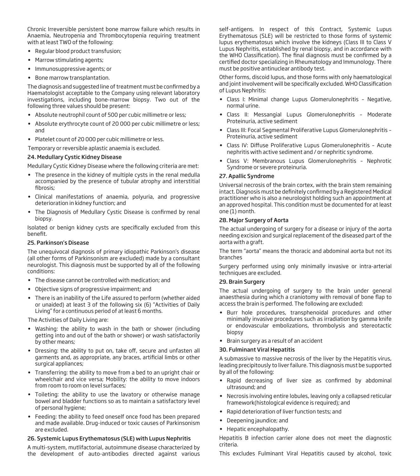Chronic Irreversible persistent bone marrow failure which results in Anaemia, Neutropenia and Thrombocytopenia requiring treatment with at least TWO of the following:

- Regular blood product transfusion;
- Marrow stimulating agents;
- Immunosuppressive agents; or
- Bone marrow transplantation.

The diagnosis and suggested line of treatment must be confirmed by a Haematologist acceptable to the Company using relevant laboratory investigations, including bone-marrow biopsy. Two out of the following three values should be present:

- Absolute neutrophil count of 500 per cubic millimetre or less;
- Absolute erythrocyte count of 20 000 per cubic millimetre or less; and
- Platelet count of 20 000 per cubic millimetre or less.

Temporary or reversible aplastic anaemia is excluded.

#### 24. Medullary Cystic Kidney Disease

Medullary Cystic Kidney Disease where the following criteria are met:

- The presence in the kidney of multiple cysts in the renal medulla accompanied by the presence of tubular atrophy and interstitial fibrosis;
- Clinical manifestations of anaemia, polyuria, and progressive deterioration in kidney function; and
- The Diagnosis of Medullary Cystic Disease is confirmed by renal biopsy.

Isolated or benign kidney cysts are specifically excluded from this benet.

#### 25. Parkinson's Disease

The unequivocal diagnosis of primary idiopathic Parkinson's disease (all other forms of Parkinsonism are excluded) made by a consultant neurologist. This diagnosis must be supported by all of the following conditions:

- The disease cannot be controlled with medication; and
- Objective signs of progressive impairment; and
- There is an inability of the Life assured to perform (whether aided or unaided) at least 3 of the following six (6) "Activities of Daily Living" for a continuous period of at least 6 months.

The Activities of Daily Living are:

- Washing: the ability to wash in the bath or shower (including getting into and out of the bath or shower) or wash satisfactorily by other means;
- Dressing: the ability to put on, take off, secure and unfasten all garments and, as appropriate, any braces, artificial limbs or other surgical appliances;
- Transferring: the ability to move from a bed to an upright chair or wheelchair and vice versa; Mobility: the ability to move indoors from room to room on level surfaces;
- Toileting: the ability to use the lavatory or otherwise manage bowel and bladder functions so as to maintain a satisfactory level of personal hygiene;
- Feeding: the ability to feed oneself once food has been prepared and made available. Drug-induced or toxic causes of Parkinsonism are excluded.

# 26. Systemic Lupus Erythematosus (SLE) with Lupus Nephritis

A multi-system, mutlifactorial, autoimmune disease characterized by the development of auto-antibodies directed against various

self-antigens. In respect of this Contract, Systemic Lupus Erythematosus (SLE) will be restricted to those forms of systemic lupus erythematosus which involve the kidneys (Class III to Class V Lupus Nephritis, established by renal biopsy, and in accordance with the WHO Classification). The final diagnosis must be confirmed by a certified doctor specializing in Rheumatology and Immunology. There must be positive antinuclear antibody test.

Other forms, discoid lupus, and those forms with only haematological and joint involvement will be specifically excluded. WHO Classification of Lupus Nephritis:

- Class I: Minimal change Lupus Glomerulonephritis Negative, normal urine.
- Class II: Messangial Lupus Glomerulonephritis Moderate Proteinuria, active sediment
- Class III: Focal Segmental Proliferative Lupus Glomerulonephritis Proteinuria, active sediment
- Class IV: Diffuse Proliferative Lupus Glomerulonephritis Acute nephritis with active sediment and / or nephritic syndrome.
- Class V: Membranous Lupus Glomerulonephritis Nephrotic Syndrome or severe proteinuria.

#### 27. Apallic Syndrome

Universal necrosis of the brain cortex, with the brain stem remaining intact. Diagnosis must be definitely confirmed by a Registered Medical practitioner who is also a neurologist holding such an appointment at an approved hospital. This condition must be documented for at least one (1) month.

#### 28. Major Surgery of Aorta

The actual undergoing of surgery for a disease or injury of the aorta needing excision and surgical replacement of the diseased part of the aorta with a graft.

The term "aorta" means the thoracic and abdominal aorta but not its branches

Surgery performed using only minimally invasive or intra-arterial techniques are excluded.

#### 29. Brain Surgery

The actual undergoing of surgery to the brain under general anaesthesia during which a craniotomy with removal of bone flap to access the brain is performed. The following are excluded:

- Burr hole procedures, transphenoidal procedures and other minimally invasive procedures such as irradiation by gamma knife or endovascular embolizations, thrombolysis and stereotactic biopsy
- Brain surgery as a result of an accident

# 30. Fulminant Viral Hepatitis

A submassive to massive necrosis of the liver by the Hepatitis virus, leading precipitously to liver failure. This diagnosis must be supported by all of the following:

- Rapid decreasing of liver size as confirmed by abdominal ultrasound; and
- Necrosis involving entire lobules, leaving only a collapsed reticular framework(histological evidence is required); and
- Rapid deterioration of liver function tests; and
- Deepening jaundice; and
- Hepatic encephalopathy.

Hepatitis B infection carrier alone does not meet the diagnostic criteria.

This excludes Fulminant Viral Hepatitis caused by alcohol, toxic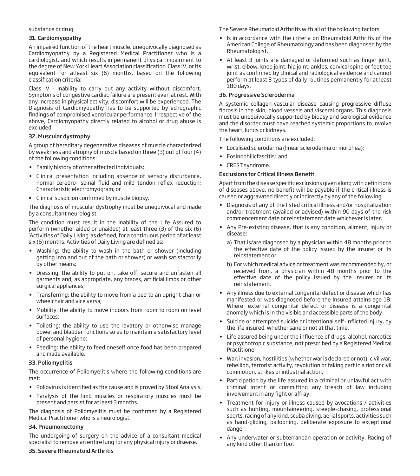#### substance or drug.

#### 31. Cardiomyopathy

An impaired function of the heart muscle, unequivocally diagnosed as Cardiomyopathy by a Registered Medical Practitioner who is a cardiologist, and which results in permanent physical impairment to the degree of New York Heart Association classification Class IV, or its equivalent for atleast six (6) months, based on the following classification criteria:

Class IV - Inability to carry out any activity without discomfort. Symptoms of congestive cardiac failure are present even at rest. With any increase in physical activity, discomfort will be experienced. The Diagnosis of Cardiomyopathy has to be supported by echographic findings of compromised ventricular performance. Irrespective of the above, Cardiomyopathy directly related to alcohol or drug abuse is excluded.

#### 32. Muscular dystrophy

A group of hereditary degenerative diseases of muscle characterized by weakness and atrophy of muscle based on three (3) out of four (4) of the following conditions:

- Family history of other affected individuals;
- Clinical presentation including absence of sensory disturbance, normal cerebro- spinal fluid and mild tendon reflex reduction; Characteristic electromyogram; or
- Clinical suspicion confirmed by muscle biopsy.

The diagnosis of muscular dystrophy must be unequivocal and made by a consultant neurologist.

The condition must result in the inability of the Life Assured to perform (whether aided or unaided) at least three (3) of the six (6) Activities of Daily Living' as defined, for a continuous period of at least six (6) months. Activities of Daily Living are defined as:

- Washing: the ability to wash in the bath or shower (including getting into and out of the bath or shower) or wash satisfactorily by other means;
- Dressing: the ability to put on, take off, secure and unfasten all garments and, as appropriate, any braces, artificial limbs or other surgical appliances;
- Transferring: the ability to move from a bed to an upright chair or wheelchair and vice versa;
- Mobility: the ability to move indoors from room to room on level surfaces;
- Toileting: the ability to use the lavatory or otherwise manage bowel and bladder functions so as to maintain a satisfactory level of personal hygiene;
- Feeding: the ability to feed oneself once food has been prepared and made available.

#### 33. Poliomyelitis

The occurrence of Poliomyelitis where the following conditions are met:

- Poliovirus is identified as the cause and is proved by Stool Analysis,
- Paralysis of the limb muscles or respiratory muscles must be present and persist for at least 3 months.

The diagnosis of Poliomyelitis must be confirmed by a Registered Medical Practitioner who is a neurologist.

# 34. Pneumonectomy

The undergoing of surgery on the advice of a consultant medical specialist to remove an entire lung for any physical injury or disease.

#### 35. Severe Rheumatoid Arthritis

The Severe Rheumatoid Arthritis with all of the following factors:

- Is in accordance with the criteria on Rheumatoid Arthritis of the American College of Rheumatology and has been diagnosed by the Rheumatologist.
- At least 3 joints are damaged or deformed such as finger joint, wrist, elbow, knee joint, hip joint, ankles, cervical spine or feet toe joint as confirmed by clinical and radiological evidence and cannot perform at least 3 types of daily routines permanently for at least 180 days.

#### 36. Progressive Scleroderma

A systemic collagen-vascular disease causing progressive diffuse fibrosis in the skin, blood vessels and visceral organs. This diagnosis must be unequivocally supported by biopsy and serological evidence and the disorder must have reached systemic proportions to involve the heart, lungs or kidneys.

The following conditions are excluded:

- Localised scleroderma (linear scleroderma or morphea);
- Eosinophilicfascitis; and
- CREST syndrome.

# **Exclusions for Critical Illness Benefit**

Apart from the disease specific exclusions given along with definitions of diseases above, no benefit will be payable if the critical illness is caused or aggravated directly or indirectly by any of the following:

- Diagnosis of any of the listed critical illness and/or hospitalization and/or treatment (availed or advised) within 90 days of the risk commencement date or reinstatement date whichever is later.
- Any Pre-existing disease, that is any condition, ailment, injury or disease:
	- a) That is/are diagnosed by a physician within 48 months prior to the effective date of the policy issued by the insurer or its reinstatement or
	- b) For which medical advice or treatment was recommended by, or received from, a physician within 48 months prior to the effective date of the policy issued by the insurer or its reinstatement.
- Any illness due to external congenital defect or disease which has manifested or was diagnosed before the Insured attains age 18. Where, external congenital defect or disease is a congenital anomaly which is in the visible and accessible parts of the body.
- Suicide or attempted suicide or intentional self-inflicted injury, by the life insured, whether sane or not at that time.
- Life assured being under the influence of drugs, alcohol, narcotics or psychotropic substance, not prescribed by a Registered Medical Practitioner
- War, invasion, hostilities (whether war is declared or not), civil war, rebellion, terrorist activity, revolution or taking part in a riot or civil commotion, strikes or industrial action.
- Participation by the life assured in a criminal or unlawful act with criminal intent or committing any breach of law including involvement in any fight or affray.
- Treatment for injury or illness caused by avocations / activities such as hunting, mountaineering, steeple-chasing, professional sports, racing of any kind, scuba diving, aerial sports, activities such as hand-gliding, ballooning, deliberate exposure to exceptional danger.
- Any underwater or subterranean operation or activity. Racing of any kind other than on foot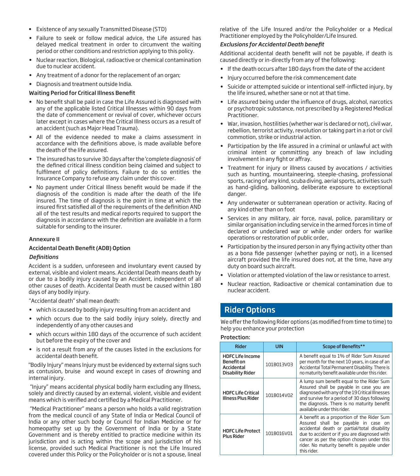- Existence of any sexually Transmitted Disease (STD)
- Failure to seek or follow medical advice, the Life assured has delayed medical treatment in order to circumvent the waiting period or other conditions and restriction applying to this policy.
- Nuclear reaction, Biological, radioactive or chemical contamination due to nuclear accident.
- Any treatment of a donor for the replacement of an organ;
- Diagnosis and treatment outside India.

# Waiting Period for Critical Illness Benefit

- No benefit shall be paid in case the Life Assured is diagnosed with any of the applicable listed Critical Illnesses within 90 days from the date of commencement or revival of cover, whichever occurs later except in cases where the Critical Illness occurs as a result of an accident (such as Major Head Trauma).
- All of the evidence needed to make a claims assessment in accordance with the definitions above, is made available before the death of the life assured.
- The insured has to survive 30 days after the 'complete diagnosis' of the defined critical illness condition being claimed and subject to fulfilment of policy definitions. Failure to do so entitles the Insurance Company to refuse any claim under this cover.
- No payment under Critical Illness benefit would be made if the diagnosis of the condition is made after the death of the life insured. The time of diagnosis is the point in time at which the insured first satisfied all of the requirements of the definition AND all of the test results and medical reports required to support the diagnosis in accordance with the definition are available in a form suitable for sending to the insurer.

#### Annexure II

#### Accidental Death Benefit (ADB) Option

# **Definitions**

Accident is a sudden, unforeseen and involuntary event caused by external, visible and violent means. Accidental Death means death by or due to a bodily injury caused by an Accident, independent of all other causes of death. Accidental Death must be caused within 180 days of any bodily injury.

"Accidental death" shall mean death:

- which is caused by bodily injury resulting from an accident and
- which occurs due to the said bodily injury solely, directly and independently of any other causes and
- which occurs within 180 days of the occurrence of such accident but before the expiry of the cover and
- is not a result from any of the causes listed in the exclusions for accidental death benefit.

"Bodily Injury" means Injury must be evidenced by external signs such as contusion, bruise and wound except in cases of drowning and internal injury.

 "Injury" means accidental physical bodily harm excluding any Illness, solely and directly caused by an external, violent, visible and evident means which is verified and certified by a Medical Practitioner.

 "Medical Practitioner" means a person who holds a valid registration from the medical council of any State of India or Medical Council of India or any other such body or Council for Indian Medicine or for homeopathy set up by the Government of India or by a State Government and is thereby entitled to practice medicine within its jurisdiction and is acting within the scope and jurisdiction of his license, provided such Medical Practitioner is not the Life Insured covered under this Policy or the Policyholder or is not a spouse, lineal

relative of the Life Insured and/or the Policyholder or a Medical Practitioner employed by the Policyholder/Life Insured.

#### *Exclusions for Accidental Death benet*

Additional accidental death benefit will not be payable, if death is caused directly or in-directly from any of the following:

- If the death occurs after 180 days from the date of the accident
- Injury occurred before the risk commencement date
- Suicide or attempted suicide or intentional self-inflicted injury, by the life insured, whether sane or not at that time.
- Life assured being under the influence of drugs, alcohol, narcotics or psychotropic substance, not prescribed by a Registered Medical Practitioner.
- War, invasion, hostilities (whether war is declared or not), civil war, rebellion, terrorist activity, revolution or taking part in a riot or civil commotion, strike or industrial action.
- Participation by the life assured in a criminal or unlawful act with criminal intent or committing any breach of law including involvement in any fight or affray.
- Treatment for injury or illness caused by avocations / activities such as hunting, mountaineering, steeple-chasing, professional sports, racing of any kind, scuba diving, aerial sports, activities such as hand-gliding, ballooning, deliberate exposure to exceptional danger.
- Any underwater or subterranean operation or activity. Racing of any kind other than on foot
- Services in any military, air force, naval, police, paramilitary or similar organisation including service in the armed forces in time of declared or undeclared war or while under orders for warlike operations or restoration of public order,
- Participation by the insured person in any flying activity other than as a bona fide passenger (whether paying or not), in a licensed aircraft provided the life insured does not, at the time, have any duty on board such aircraft.
- Violation or attempted violation of the law or resistance to arrest.
- Nuclear reaction, Radioactive or chemical contamination due to nuclear accident.

# Rider Options

We offer the following Rider options (as modified from time to time) to help you enhance your protection

#### Protection:

| <b>Rider</b>                                                                   | <b>UIN</b> | <b>Scope of Benefits**</b>                                                                                                                                                                                                                                                                    |  |  |  |  |
|--------------------------------------------------------------------------------|------------|-----------------------------------------------------------------------------------------------------------------------------------------------------------------------------------------------------------------------------------------------------------------------------------------------|--|--|--|--|
| <b>HDFC Life Income</b><br><b>Benefit</b> on<br>Accidental<br>Disability Rider | 101B013V03 | A benefit equal to 1% of Rider Sum Assured<br>per month for the next 10 years, in case of an<br>Accidental Total Permanent Disability. There is<br>no maturity benefit available under this rider.                                                                                            |  |  |  |  |
| <b>HDFC Life Critical</b><br><b>Illness Plus Rider</b>                         | 101B014V02 | A lump sum benefit equal to the Rider Sum<br>Assured shall be payable in case you are<br>diagnosed with any of the 19 Critical Illnesses<br>and survive for a period of 30 days following<br>the diagnosis. There is no maturity benefit<br>available under this rider.                       |  |  |  |  |
| <b>HDFC Life Protect</b><br><b>Plus Rider</b>                                  | 101B016V01 | A benefit as a proportion of the Rider Sum<br>Assured shall be payable in case on<br>accidental death or partial/total disability<br>due to accident or if you are diagnosed with<br>cancer as per the option chosen under this<br>rider. No maturity benefit is payable under<br>this rider. |  |  |  |  |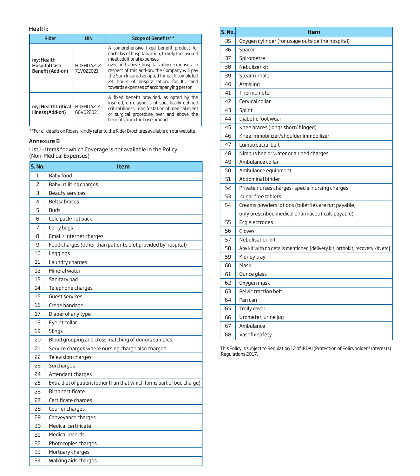#### Health:

| <b>Rider</b>                                                       | <b>UIN</b>              | <b>Scope of Benefits**</b>                                                                                                                                                                                                                                                                                                                                     |  |  |
|--------------------------------------------------------------------|-------------------------|----------------------------------------------------------------------------------------------------------------------------------------------------------------------------------------------------------------------------------------------------------------------------------------------------------------------------------------------------------------|--|--|
| my: Health<br><b>Hospital Cash</b><br>Benefit (Add-on)             | HDFHLIA212<br>71V022021 | A comprehensive fixed benefit product for<br>each day of hospitalization, to help the insured<br>meet additional expenses<br>over and above hospitalization expenses. In<br>respect of this add-on, the Company will pay<br>the Sum Insured as opted for each completed<br>24 hours of hospitalization, for ICU and<br>towards expenses of accompanying person |  |  |
| HDFHLIA214<br>my: Health Critical<br>Illness (Add-on)<br>66V022021 |                         | A fixed benefit provided, as opted by the<br>insured, on diagnosis of specifically defined<br>critical illness, manifestation of medical event<br>or surgical procedure over and above the<br>benefits from the base product                                                                                                                                   |  |  |

\*\*For all details on Riders, kindly refer to the Rider Brochures available on our website

#### Annexure B

List I - Items for which Coverage is not available in the Policy (Non-Medical Expenses)

| S. No. | <b>Item</b>                                                            |
|--------|------------------------------------------------------------------------|
| 1      | Baby food                                                              |
| 2      | Baby utilities charges                                                 |
| 3      | <b>Beauty services</b>                                                 |
| 4      | Belts/braces                                                           |
| 5      | <b>Buds</b>                                                            |
| 6      | Cold pack/hot pack                                                     |
| 7      | Carry bags                                                             |
| 8      | Email / internet charges                                               |
| 9      | Food charges (other than patient's diet provided by hospital)          |
| 10     | Leggings                                                               |
| 11     | Laundry charges                                                        |
| 12     | Mineral water                                                          |
| 13     | Sanitary pad                                                           |
| 14     | Telephone charges                                                      |
| 15     | Guest services                                                         |
| 16     | Crepe bandage                                                          |
| 17     | Diaper of any type                                                     |
| 18     | Eyelet collar                                                          |
| 19     | Slings                                                                 |
| 20     | Blood grouping and cross matching of donors samples                    |
| 21     | Service charges where nursing charge also charged                      |
| 22     | Television charges                                                     |
| 23     | Surcharges                                                             |
| 24     | Attendant charges                                                      |
| 25     | Extra diet of patient (other than that which forms part of bed charge) |
| 26     | <b>Birth certificate</b>                                               |
| 27     | Certificate charges                                                    |
| 28     | Courier charges                                                        |
| 29     | Conveyance charges                                                     |
| 30     | Medical certificate                                                    |
| 31     | Medical records                                                        |
| 32     | Photocopies charges                                                    |
| 33     | Mortuary charges                                                       |
| 34     | Walking aids charges                                                   |

| S. No. | Item                                                                          |
|--------|-------------------------------------------------------------------------------|
| 35     | Oxygen cylinder (for usage outside the hospital)                              |
| 36     | Spacer                                                                        |
| 37     | Spirometre                                                                    |
| 38     | Nebulizer kit                                                                 |
| 39     | Steam inhaler                                                                 |
| 40     | Armsling                                                                      |
| 41     | Thermometer                                                                   |
| 42     | Cervical collar                                                               |
| 43     | Splint                                                                        |
| 44     | Diabetic foot wear                                                            |
| 45     | Knee braces (long/ short/ hinged)                                             |
| 46     | Knee immobilizer/shoulder immobilizer                                         |
| 47     | Lumbo sacral belt                                                             |
| 48     | Nimbus bed or water or air bed charges                                        |
| 49     | Ambulance collar                                                              |
| 50     | Ambulance equipment                                                           |
| 51     | Abdominal binder                                                              |
| 52     | Private nurses charges- special nursing charges                               |
| 53     | sugar free tablets                                                            |
| 54     | Creams powders lotions (toiletries are not payable,                           |
|        | only prescribed medical pharmaceuticals payable)                              |
| 55     | Ecq electrodes                                                                |
| 56     | Gloves                                                                        |
| 57     | Nebulisation kit                                                              |
| 58     | Any kit with no details mentioned [delivery kit, orthokit, recovery kit, etc] |
| 59     | Kidney tray                                                                   |
| 60     | Mask                                                                          |
| 61     | Ounce glass                                                                   |
| 62     | Oxygen mask                                                                   |
| 63     | Pelvic traction belt                                                          |
| 64     | Pan can                                                                       |
| 65     | Trolly cover                                                                  |
| 66     | Urometer, urine jug                                                           |
| 67     | Ambulance                                                                     |
| 68     | Vasofix safety                                                                |

This Policy is subject to Regulation 12 of IRDAI (Protection of Policyholder's Interests) Regulations 2017.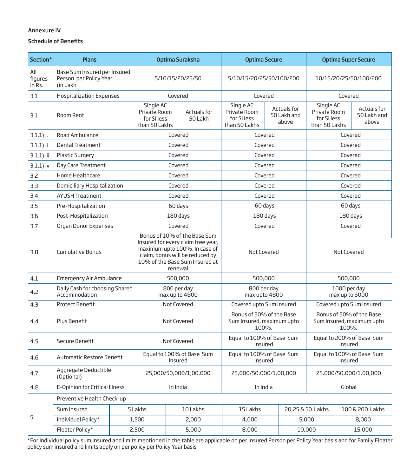# Annexure IV

# Schedule of Benefits

| Section*                 | <b>Plans</b>                                                       |  | Optima Suraksha                                                                                                                                                                     |                                                                                     | <b>Optima Secure</b>          |                                                                | <b>Optima Super Secure</b> |                                                                |                                                           |         |                                     |
|--------------------------|--------------------------------------------------------------------|--|-------------------------------------------------------------------------------------------------------------------------------------------------------------------------------------|-------------------------------------------------------------------------------------|-------------------------------|----------------------------------------------------------------|----------------------------|----------------------------------------------------------------|-----------------------------------------------------------|---------|-------------------------------------|
| All<br>figures<br>in Rs. | Base Sum Insured per Insured<br>Person per Policy Year<br>(in Lakh |  | 5/10/15/20/25/50                                                                                                                                                                    |                                                                                     | 5/10/15/20/25/50/100/200      |                                                                | 10/15/20/25/50/100/200     |                                                                |                                                           |         |                                     |
| 3.1                      | <b>Hospitalization Expenses</b>                                    |  |                                                                                                                                                                                     | Covered                                                                             |                               | Covered                                                        |                            |                                                                |                                                           | Covered |                                     |
| 3.1                      | Room Rent                                                          |  |                                                                                                                                                                                     | Single AC<br>Private Room<br>Actuals for<br>for SI less<br>50 Lakh<br>than 50 Lakhs |                               | Single AC<br>Private Room<br>for SI less<br>than 50 Lakhs      |                            | Actuals for<br>50 Lakh and<br>above                            | Single AC<br>Private Room<br>for SI less<br>than 50 Lakhs |         | Actuals for<br>50 Lakh and<br>above |
| $3.1.1$ ) i.             | Road Ambulance                                                     |  |                                                                                                                                                                                     | Covered                                                                             |                               | Covered                                                        |                            |                                                                |                                                           | Covered |                                     |
| 3.1.1) ii                | <b>Dental Treatment</b>                                            |  |                                                                                                                                                                                     | Covered                                                                             |                               | Covered                                                        |                            |                                                                |                                                           | Covered |                                     |
| $3.1.1$ ) iii            | <b>Plastic Surgery</b>                                             |  |                                                                                                                                                                                     | Covered                                                                             |                               | Covered                                                        |                            |                                                                |                                                           | Covered |                                     |
| $3.1.1$ ) iv             | Day Care Treatment                                                 |  |                                                                                                                                                                                     | Covered                                                                             |                               | Covered                                                        |                            |                                                                |                                                           | Covered |                                     |
| 3.2                      | Home Healthcare                                                    |  |                                                                                                                                                                                     | Covered                                                                             |                               |                                                                | Covered                    |                                                                |                                                           | Covered |                                     |
| 3.3                      | Domiciliary Hospitalization                                        |  |                                                                                                                                                                                     | Covered                                                                             |                               |                                                                | Covered                    |                                                                |                                                           | Covered |                                     |
| 3.4                      | <b>AYUSH Treatment</b>                                             |  |                                                                                                                                                                                     | Covered                                                                             |                               |                                                                | Covered                    |                                                                |                                                           | Covered |                                     |
| 3.5                      | Pre-Hospitalization                                                |  |                                                                                                                                                                                     | 60 days                                                                             |                               | 60 days                                                        |                            |                                                                |                                                           | 60 days |                                     |
| 3.6                      | Post-Hospitalization                                               |  |                                                                                                                                                                                     | 180 days                                                                            |                               | 180 days                                                       |                            |                                                                | 180 days                                                  |         |                                     |
| 3.7                      | Organ Donor Expenses                                               |  |                                                                                                                                                                                     | Covered                                                                             |                               | Covered                                                        |                            |                                                                | Covered                                                   |         |                                     |
| 3.8                      | <b>Cumulative Bonus</b>                                            |  | Bonus of 10% of the Base Sum<br>Insured for every claim free year,<br>maximum upto 100%. In case of<br>claim, bonus will be reduced by<br>10% of the Base Sum Insured at<br>renewal |                                                                                     | Not Covered                   |                                                                | Not Covered                |                                                                |                                                           |         |                                     |
| 4.1                      | <b>Emergency Air Ambulance</b>                                     |  |                                                                                                                                                                                     | 500,000                                                                             |                               | 500,000                                                        |                            |                                                                |                                                           | 500,000 |                                     |
| 4.2                      | Daily Cash for choosing Shared<br>Accommodation                    |  |                                                                                                                                                                                     |                                                                                     | 800 per day<br>max up to 4800 | 800 per day<br>max upto 4800                                   |                            | 1000 per day<br>max up to 6000                                 |                                                           |         |                                     |
| 4.3                      | <b>Protect Benefit</b>                                             |  |                                                                                                                                                                                     |                                                                                     | Not Covered                   | Covered upto Sum Insured                                       |                            | Covered upto Sum Insured                                       |                                                           |         |                                     |
| 4.4                      | Plus Benefit                                                       |  |                                                                                                                                                                                     |                                                                                     | Not Covered                   | Bonus of 50% of the Base<br>Sum Insured, maximum upto<br>100%. |                            | Bonus of 50% of the Base<br>Sum Insured, maximum upto<br>100%. |                                                           |         |                                     |
| 4.5                      | Secure Benefit                                                     |  |                                                                                                                                                                                     |                                                                                     | Not Covered                   | Equal to 100% of Base Sum<br>Insured                           |                            | Equal to 200% of Base Sum<br>Insured                           |                                                           |         |                                     |
| 4.6                      | Automatic Restore Benefit                                          |  |                                                                                                                                                                                     | Equal to 100% of Base Sum<br>Insured                                                |                               | Equal to 100% of Base Sum<br>Insured                           |                            | Equal to 100% of Base Sum<br>Insured                           |                                                           |         |                                     |
| 4.7                      | Aggregate Deductible<br>(Optional)                                 |  | 25,000/50,000/1,00,000                                                                                                                                                              |                                                                                     | 25,000/50,000/1,00,000        |                                                                | 25,000/50,000/1,00,000     |                                                                |                                                           |         |                                     |
| 4.8                      | E-Opinion for Critical Illness                                     |  | In India                                                                                                                                                                            |                                                                                     | In India                      |                                                                | Global                     |                                                                |                                                           |         |                                     |
|                          | Preventive Health Check-up                                         |  |                                                                                                                                                                                     |                                                                                     |                               |                                                                |                            |                                                                |                                                           |         |                                     |
|                          | Sum Insured                                                        |  | 5 Lakhs                                                                                                                                                                             |                                                                                     | 10 Lakhs                      | 15 Lakhs                                                       |                            | 20,25 & 50 Lakhs<br>100 & 200 Lakhs                            |                                                           |         |                                     |
| 5                        | Individual Policy*                                                 |  | 1,500                                                                                                                                                                               |                                                                                     | 2,000                         | 4,000                                                          |                            |                                                                | 8,000<br>5,000                                            |         |                                     |
|                          | Floater Policy*                                                    |  | 2,500                                                                                                                                                                               | 5,000                                                                               |                               | 8,000                                                          |                            | 10,000                                                         |                                                           | 15,000  |                                     |

\*For Individual policy sum insured and limits mentioned in the table are applicable on per Insured Person per Policy Year basis and for Family Floater policy sum insured and limits apply on per policy per Policy Year basis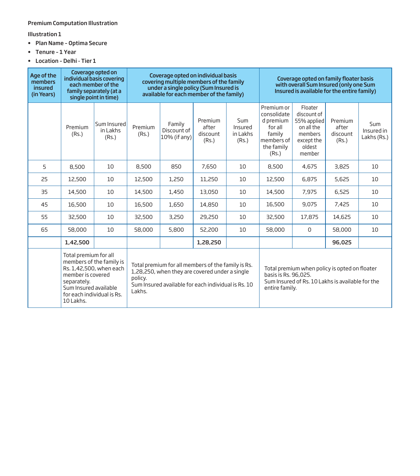# Premium Computation Illustration

Illustration 1

- Plan Name Optima Secure
- Tenure 1 Year
- Location Delhi Tier 1

| Age of the<br>members<br>insured<br>(in Years) |                                                                                                                               | Coverage opted on<br>individual basis covering<br>each member of the<br>family separately (at a<br>single point in time) | Coverage opted on individual basis<br>covering multiple members of the family<br>under a single policy (Sum Insured is<br>available for each member of the family) |                                                                                                                                                             |                                       |                                            | Coverage opted on family floater basis<br>with overall Sum Insured (only one Sum<br>Insured is available for the entire family) |                                                                                                   |                                       |                                  |  |
|------------------------------------------------|-------------------------------------------------------------------------------------------------------------------------------|--------------------------------------------------------------------------------------------------------------------------|--------------------------------------------------------------------------------------------------------------------------------------------------------------------|-------------------------------------------------------------------------------------------------------------------------------------------------------------|---------------------------------------|--------------------------------------------|---------------------------------------------------------------------------------------------------------------------------------|---------------------------------------------------------------------------------------------------|---------------------------------------|----------------------------------|--|
|                                                | Premium<br>(Rs.)                                                                                                              | Sum Insured<br>in Lakhs<br>(Rs.)                                                                                         | Premium<br>(Rs.)                                                                                                                                                   | Family<br>Discount of<br>10% (if any)                                                                                                                       | Premium<br>after<br>discount<br>(Rs.) | <b>Sum</b><br>Insured<br>in Lakhs<br>(Rs.) | Premium or<br>consolidate<br>d premium<br>for all<br>family<br>members of<br>the family<br>(Rs.)                                | Floater<br>discount of<br>55% applied<br>on all the<br>members<br>except the<br>oldest<br>member  | Premium<br>after<br>discount<br>(Rs.) | Sum<br>Insured in<br>Lakhs (Rs.) |  |
| 5                                              | 8,500                                                                                                                         | 10                                                                                                                       | 8,500                                                                                                                                                              | 850                                                                                                                                                         | 7,650                                 | 10                                         | 8,500                                                                                                                           | 4,675                                                                                             | 3,825                                 | 10                               |  |
| 25                                             | 12,500                                                                                                                        | 10                                                                                                                       | 12,500                                                                                                                                                             | 1,250                                                                                                                                                       |                                       | 10                                         | 12,500                                                                                                                          | 6,875                                                                                             | 5,625                                 | 10                               |  |
| 35                                             | 14,500                                                                                                                        | 10                                                                                                                       | 1,450<br>14,500                                                                                                                                                    |                                                                                                                                                             | 13,050                                | 10                                         | 14,500                                                                                                                          | 7,975                                                                                             | 6,525                                 | 10                               |  |
| 45                                             | 16,500                                                                                                                        | 10                                                                                                                       | 16,500                                                                                                                                                             | 1,650                                                                                                                                                       | 14,850                                | 10                                         | 16,500                                                                                                                          | 9,075                                                                                             | 7,425                                 | 10                               |  |
| 55                                             | 32,500                                                                                                                        | 10                                                                                                                       | 32,500                                                                                                                                                             | 3,250                                                                                                                                                       | 29,250                                | 10                                         | 32,500                                                                                                                          | 17,875                                                                                            | 14,625                                | 10                               |  |
| 65                                             | 58,000                                                                                                                        | 10                                                                                                                       | 58,000                                                                                                                                                             | 5,800                                                                                                                                                       | 52,200                                | 10                                         | 58,000                                                                                                                          | $\mathbf 0$                                                                                       | 58,000                                | 10                               |  |
|                                                | 1,42,500                                                                                                                      |                                                                                                                          |                                                                                                                                                                    |                                                                                                                                                             | 1,28,250                              |                                            |                                                                                                                                 |                                                                                                   | 96,025                                |                                  |  |
|                                                | Total premium for all<br>member is covered<br>separately.<br>Sum Insured available<br>for each individual is Rs.<br>10 Lakhs. | members of the family is<br>Rs. 1,42,500, when each                                                                      | policy.<br>Lakhs.                                                                                                                                                  | Total premium for all members of the family is Rs.<br>1,28,250, when they are covered under a single<br>Sum Insured available for each individual is Rs. 10 |                                       |                                            | basis is Rs. 96,025.<br>entire family.                                                                                          | Total premium when policy is opted on floater<br>Sum Insured of Rs. 10 Lakhs is available for the |                                       |                                  |  |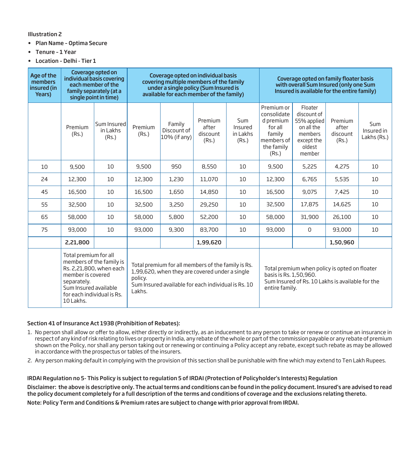Illustration 2

- Plan Name Optima Secure
- Tenure 1 Year
- Location Delhi Tier 1

| Age of the<br>members<br>insured (in<br>Years) | Coverage opted on<br>individual basis covering<br>each member of the<br>family separately (at a<br>single point in time)                                                             |                                  | Coverage opted on individual basis<br>covering multiple members of the family<br>under a single policy (Sum Insured is<br>available for each member of the family)               |                                          |                                       |                                     | Coverage opted on family floater basis<br>with overall Sum Insured (only one Sum<br>Insured is available for the entire family)               |                                                                                                  |                                       |                                  |
|------------------------------------------------|--------------------------------------------------------------------------------------------------------------------------------------------------------------------------------------|----------------------------------|----------------------------------------------------------------------------------------------------------------------------------------------------------------------------------|------------------------------------------|---------------------------------------|-------------------------------------|-----------------------------------------------------------------------------------------------------------------------------------------------|--------------------------------------------------------------------------------------------------|---------------------------------------|----------------------------------|
|                                                | Premium<br>(Rs.)                                                                                                                                                                     | Sum Insured<br>in Lakhs<br>(Rs.) | Premium<br>(Rs.)                                                                                                                                                                 | Family<br>Discount of<br>$10\%$ (if any) | Premium<br>after<br>discount<br>(Rs.) | Sum<br>Insured<br>in Lakhs<br>(Rs.) | Premium or<br>consolidate<br>d premium<br>for all<br>family<br>members of<br>the family<br>(Rs.)                                              | Floater<br>discount of<br>55% applied<br>on all the<br>members<br>except the<br>oldest<br>member | Premium<br>after<br>discount<br>(Rs.) | Sum<br>Insured in<br>Lakhs (Rs.) |
| 10                                             | 9,500                                                                                                                                                                                | 10                               | 9,500                                                                                                                                                                            | 950                                      | 8,550                                 | 10                                  | 9,500                                                                                                                                         | 5,225                                                                                            | 4,275                                 | 10                               |
| 24                                             | 12,300                                                                                                                                                                               | 10                               | 12,300                                                                                                                                                                           | 1,230                                    | 11,070                                | 10                                  | 12,300                                                                                                                                        | 6,765                                                                                            | 5,535                                 | 10                               |
| 45                                             | 16,500                                                                                                                                                                               | 10                               | 16,500                                                                                                                                                                           | 1,650                                    | 14,850                                | 10                                  | 16,500                                                                                                                                        | 9,075                                                                                            | 7,425                                 | 10                               |
| 55                                             | 32,500                                                                                                                                                                               | 10                               | 32,500                                                                                                                                                                           | 3,250                                    | 29,250                                | 10                                  | 32,500                                                                                                                                        | 17,875                                                                                           | 14,625                                | 10                               |
| 65                                             | 58,000                                                                                                                                                                               | 10                               | 58,000                                                                                                                                                                           | 5,800                                    | 52,200                                | 10                                  | 58,000                                                                                                                                        | 31,900                                                                                           | 26,100                                | 10                               |
| 75                                             | 93,000                                                                                                                                                                               | 10                               | 93,000                                                                                                                                                                           | 9,300                                    | 83,700                                | 10                                  | 93,000                                                                                                                                        | $\Omega$                                                                                         | 93,000                                | 10                               |
|                                                | 2,21,800                                                                                                                                                                             |                                  |                                                                                                                                                                                  |                                          | 1,99,620                              |                                     |                                                                                                                                               |                                                                                                  | 1,50,960                              |                                  |
|                                                | Total premium for all<br>members of the family is<br>Rs. 2.21.800, when each<br>member is covered<br>separately.<br>Sum Insured available<br>for each individual is Rs.<br>10 Lakhs. |                                  | Total premium for all members of the family is Rs.<br>1,99,620, when they are covered under a single<br>policy.<br>Sum Insured available for each individual is Rs. 10<br>Lakhs. |                                          |                                       |                                     | Total premium when policy is opted on floater<br>basis is Rs. 1,50,960.<br>Sum Insured of Rs. 10 Lakhs is available for the<br>entire family. |                                                                                                  |                                       |                                  |

# Section 41 of Insurance Act 1938 (Prohibition of Rebates):

- 1. No person shall allow or offer to allow, either directly or indirectly, as an inducement to any person to take or renew or continue an insurance in respect of any kind of risk relating to lives or property in India, any rebate of the whole or part of the commission payable or any rebate of premium shown on the Policy, nor shall any person taking out or renewing or continuing a Policy accept any rebate, except such rebate as may be allowed in accordance with the prospectus or tables of the insurers.
- 2. Any person making default in complying with the provision of this section shall be punishable with fine which may extend to Ten Lakh Rupees.

IRDAI Regulation no 5- This Policy is subject to regulation 5 of IRDAI (Protection of Policyholder's Interests) Regulation

Disclaimer: the above is descriptive only. The actual terms and conditions can be found in the policy document. Insured's are advised to read the policy document completely for a full description of the terms and conditions of coverage and the exclusions relating thereto.

Note: Policy Term and Conditions & Premium rates are subject to change with prior approval from IRDAI.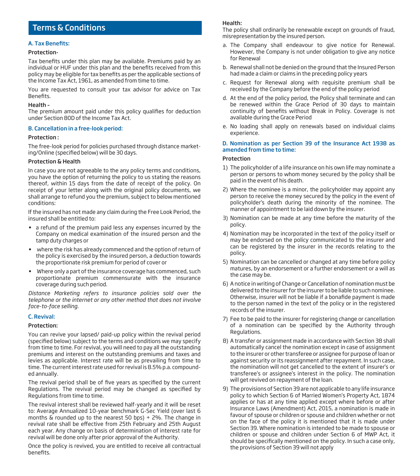# Terms & Conditions

# A. Tax Benefits:

#### Protection-

Tax benefits under this plan may be available. Premiums paid by an individual or HUF under this plan and the benefits received from this policy may be eligible for tax benefits as per the applicable sections of the Income Tax Act, 1961, as amended from time to time.

You are requested to consult your tax advisor for advice on Tax Benefits.

#### Health –

The premium amount paid under this policy qualifies for deduction under Section 80D of the Income Tax Act.

#### B. Cancellation in a free-look period:

#### Protection :

The free-look period for policies purchased through distance marketing/Online (specified below) will be 30 days.

#### Protection & Health

In case you are not agreeable to the any policy terms and conditions, you have the option of returning the policy to us stating the reasons thereof, within 15 days from the date of receipt of the policy. On receipt of your letter along with the original policy documents, we shall arrange to refund you the premium, subject to below mentioned conditions:

If the insured has not made any claim during the Free Look Period, the insured shall be entitled to:

- a refund of the premium paid less any expenses incurred by the Company on medical examination of the insured person and the tamp duty charges or
- where the risk has already commenced and the option of return of the policy is exercised by the insured person, a deduction towards the proportionate risk premium for period of cover or
- Where only a part of the insurance coverage has commenced, such proportionate premium commensurate with the insurance coverage during such period.

*Distance Marketing refers to insurance policies sold over the telephone or the internet or any other method that does not involve face-to-face selling.*

#### C. Revival:

# Protection:

You can revive your lapsed/ paid-up policy within the revival period (specified below) subject to the terms and conditions we may specify from time to time. For revival, you will need to pay all the outstanding premiums and interest on the outstanding premiums and taxes and levies as applicable. Interest rate will be as prevailing from time to time. The current interest rate used for revival is 8.5% p.a. compounded annually.

The revival period shall be of five years as specified by the current Regulations. The revival period may be changed as specified by Regulations from time to time.

The revival interest shall be reviewed half-yearly and it will be reset to: Average Annualized 10-year benchmark G-Sec Yield (over last 6 months & rounded up to the nearest 50 bps) + 2%. The change in revival rate shall be effective from 25th February and 25th August each year. Any change on basis of determination of interest rate for revival will be done only after prior approval of the Authority.

Once the policy is revived, you are entitled to receive all contractual benefits.

# Health:

The policy shall ordinarily be renewable except on grounds of fraud, misrepresentation by the insured person.

- a. The Company shall endeavour to give notice for Renewal. However, the Company is not under obligation to give any notice for Renewal
- b. Renewal shall not be denied on the ground that the Insured Person had made a claim or claims in the preceding policy years
- c. Request for Renewal along with requisite premium shall be received by the Company before the end of the policy period
- d. At the end of the policy period, the Policy shall terminate and can be renewed within the Grace Period of 30 days to maintain continuity of benefits without Break in Policy. Coverage is not available during the Grace Period
- e. No loading shall apply on renewals based on individual claims experience.

#### D. Nomination as per Section 39 of the Insurance Act 1938 as amended from time to time:

# **Protection**

- 1) The policyholder of a life insurance on his own life may nominate a person or persons to whom money secured by the policy shall be paid in the event of his death.
- 2) Where the nominee is a minor, the policyholder may appoint any person to receive the money secured by the policy in the event of policyholder's death during the minority of the nominee. The manner of appointment to be laid down by the insurer.
- 3) Nomination can be made at any time before the maturity of the policy.
- 4) Nomination may be incorporated in the text of the policy itself or may be endorsed on the policy communicated to the insurer and can be registered by the insurer in the records relating to the policy.
- 5) Nomination can be cancelled or changed at any time before policy matures, by an endorsement or a further endorsement or a will as the case may be.
- 6) A notice in writing of Change or Cancellation of nomination must be delivered to the insurer for the insurer to be liable to such nominee. Otherwise, insurer will not be liable if a bonafide payment is made to the person named in the text of the policy or in the registered records of the insurer.
- 7) Fee to be paid to the insurer for registering change or cancellation of a nomination can be specified by the Authority through Regulations.
- 8) A transfer or assignment made in accordance with Section 38 shall automatically cancel the nomination except in case of assignment to the insurer or other transferee or assignee for purpose of loan or against security or its reassignment after repayment. In such case, the nomination will not get cancelled to the extent of insurer's or transferee's or assignee's interest in the policy. The nomination will get revived on repayment of the loan.
- 9) The provisions of Section 39 are not applicable to any life insurance policy to which Section 6 of Married Women's Property Act, 1874 applies or has at any time applied except where before or after Insurance Laws (Amendment) Act, 2015, a nomination is made in favour of spouse or children or spouse and children whether or not on the face of the policy it is mentioned that it is made under Section 39. Where nomination is intended to be made to spouse or children or spouse and children under Section 6 of MWP Act, it should be specifically mentioned on the policy. In such a case only, the provisions of Section 39 will not apply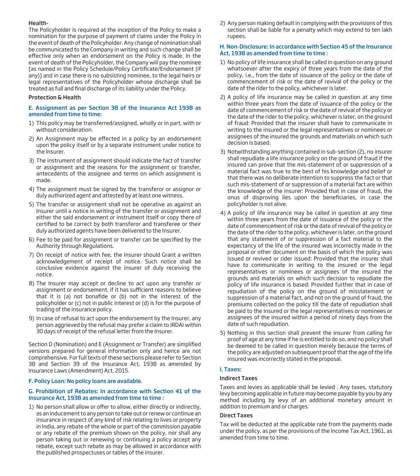## Health-

The Policyholder is required at the inception of the Policy to make a nomination for the purpose of payment of claims under the Policy in the event of death of the Policyholder. Any change of nomination shall be communicated to the Company in writing and such change shall be effective only when an endorsement on the Policy is made. In the event of death of the Policyholder, the Company will pay the nominee {as named in the Policy Schedule/Policy Certificate/Endorsement (if any)} and in case there is no subsisting nominee, to the legal heirs or legal representatives of the Policyholder whose discharge shall be treated as full and final discharge of its liability under the Policy.

# Protection & Health

# E. Assignment as per Section 38 of the Insurance Act 1938 as amended from time to time:

- 1) This policy may be transferred/assigned, wholly or in part, with or without consideration.
- 2) An Assignment may be effected in a policy by an endorsement upon the policy itself or by a separate instrument under notice to the Insurer.
- 3) The instrument of assignment should indicate the fact of transfer or assignment and the reasons for the assignment or transfer, antecedents of the assignee and terms on which assignment is made.
- 4) The assignment must be signed by the transferor or assignor or duly authorized agent and attested by at least one witness.
- 5) The transfer or assignment shall not be operative as against an Insurer until a notice in writing of the transfer or assignment and either the said endorsement or instrument itself or copy there of certified to be correct by both transferor and transferee or their duly authorized agents have been delivered to the Insurer.
- 6) Fee to be paid for assignment or transfer can be specified by the Authority through Regulations.
- 7) On receipt of notice with fee, the Insurer should Grant a written acknowledgement of receipt of notice. Such notice shall be conclusive evidence against the insurer of duly receiving the notice.
- 8) The Insurer may accept or decline to act upon any transfer or assignment or endorsement, if it has sufficient reasons to believe that it is (a) not bonafide or (b) not in the interest of the policyholder or (c) not in public interest or (d) is for the purpose of trading of the insurance policy.
- 9) In case of refusal to act upon the endorsement by the Insurer, any person aggrieved by the refusal may prefer a claim to IRDAI within 30 days of receipt of the refusal letter from the Insurer.

Section D (Nomination) and E (Assignment or Transfer) are simplified versions prepared for general information only and hence are not comprehensive. For full texts of these sections please refer to Section 38 and Section 39 of the Insurance Act, 1938 as amended by Insurance Laws (Amendment) Act, 2015.

#### F. Policy Loan: No policy loans are available.

#### G. Prohibition of Rebates: In accordance with Section 41 of the Insurance Act, 1938 as amended from time to time :

1) No person shall allow or offer to allow, either directly or indirectly, as an inducement to any person to take out or renew or continue an insurance in respect of any kind of risk relating to lives or property in India, any rebate of the whole or part of the commission payable or any rebate of the premium shown on the policy, nor shall any person taking out or renewing or continuing a policy accept any rebate, except such rebate as may be allowed in accordance with the published prospectuses or tables of the insurer.

2) Any person making default in complying with the provisions of this section shall be liable for a penalty which may extend to ten lakh rupees.

## H. Non-Disclosure: In accordance with Section 45 of the Insurance Act, 1938 as amended from time to time :

- 1) No policy of life insurance shall be called in question on any ground whatsoever after the expiry of three years from the date of the policy, i.e., from the date of issuance of the policy or the date of commencement of risk or the date of revival of the policy or the date of the rider to the policy, whichever is later.
- 2) A policy of life insurance may be called in question at any time within three years from the date of issuance of the policy or the date of commencement of risk or the date of revival of the policy or the date of the rider to the policy, whichever is later, on the ground of fraud: Provided that the insurer shall have to communicate in writing to the insured or the legal representatives or nominees or assignees of the insured the grounds and materials on which such decision is based.
- 3) Notwithstanding anything contained in sub-section (2), no insurer shall repudiate a life insurance policy on the ground of fraud if the insured can prove that the mis-statement of or suppression of a material fact was true to the best of his knowledge and belief or that there was no deliberate intention to suppress the fact or that such mis-statement of or suppression of a material fact are within the knowledge of the insurer: Provided that in case of fraud, the onus of disproving lies upon the beneficiaries, in case the policyholder is not alive.
- 4) A policy of life insurance may be called in question at any time within three years from the date of issuance of the policy or the date of commencement of risk or the date of revival of the policy or the date of the rider to the policy, whichever is later, on the ground that any statement of or suppression of a fact material to the expectancy of the life of the insured was incorrectly made in the proposal or other document on the basis of which the policy was issued or revived or rider issued: Provided that the insurer shall have to communicate in writing to the insured or the legal representatives or nominees or assignees of the insured the grounds and materials on which such decision to repudiate the policy of life insurance is based: Provided further that in case of repudiation of the policy on the ground of misstatement or suppression of a material fact, and not on the ground of fraud, the premiums collected on the policy till the date of repudiation shall be paid to the insured or the legal representatives or nominees or assignees of the insured within a period of ninety days from the date of such repudiation.
- 5) Nothing in this section shall prevent the insurer from calling for proof of age at any time if he is entitled to do so, and no policy shall be deemed to be called in question merely because the terms of the policy are adjusted on subsequent proof that the age of the life insured was incorrectly stated in the proposal.

# I. Taxes:

# Indirect Taxes

Taxes and levies as applicable shall be levied . Any taxes, statutory levy becoming applicable in future may become payable by you by any method including by levy of an additional monetary amount in addition to premium and or charges.

# Direct Taxes

Tax will be deducted at the applicable rate from the payments made under the policy, as per the provisions of the Income Tax Act, 1961, as amended from time to time.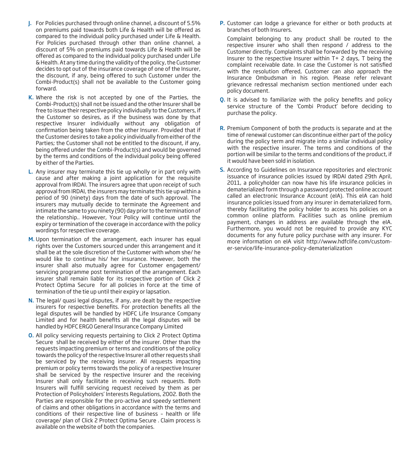- J. For Policies purchased through online channel, a discount of 5.5% on premiums paid towards both Life & Health will be offered as compared to the individual policy purchased under Life & Health. For Policies purchased through other than online channel, a discount of 5% on premiums paid towards Life & Health will be offered as compared to the individual policy purchased under Life & Health. At any time during the validity of the policy, the Customer decides to opt out of the insurance coverage of one of the Insurer, the discount, if any, being offered to such Customer under the Combi-Product(s) shall not be available to the Customer going forward.
- K. Where the risk is not accepted by one of the Parties, the Combi-Product(s) shall not be issued and the other Insurer shall be free to issue their respective policy individually to the Customers, if the Customer so desires, as if the business was done by that respective Insurer individually without any obligation of confirmation being taken from the other Insurer. Provided that if the Customer desires to take a policy individually from either of the Parties; the Customer shall not be entitled to the discount, if any, being offered under the Combi-Product(s) and would be governed by the terms and conditions of the individual policy being offered by either of the Parties.
- L. Any insurer may terminate this tie up wholly or in part only with cause and after making a joint application for the requisite approval from IRDAI. The insurers agree that upon receipt of such approval from IRDAI, the insurers may terminate this tie up within a period of 90 (ninety) days from the date of such approval. The insurers may mutually decide to terminate the Agreement and intimate the same to you ninety (90) day prior to the termination of the relationship.. However, Your Policy will continue until the expiry or termination of the coverage in accordance with the policy wordings for respective coverage.
- M. Upon termination of the arrangement, each insurer has equal rights over the Customers sourced under this arrangement and it shall be at the sole discretion of the Customer with whom she/ he would like to continue his/ her insurance. However, both the insurer shall also mutually agree for Customer engagement/ servicing programme post termination of the arrangement. Each insurer shall remain liable for its respective portion of Click 2 Protect Optima Secure for all policies in force at the time of termination of the tie up until their expiry or lapsation.
- N. The legal/ quasi legal disputes, if any, are dealt by the respective insurers for respective benefits. For protection benefits all the legal disputes will be handled by HDFC Life Insurance Company Limited and for health benefits all the legal disputes will be handled by HDFC ERGO General Insurance Company Limited
- O. All policy servicing requests pertaining to Click 2 Protect Optima Secure shall be received by either of the insurer. Other than the requests impacting premium or terms and conditions of the policy towards the policy of the respective Insurer all other requests shall be serviced by the receiving insurer. All requests impacting premium or policy terms towards the policy of a respective Insurer shall be serviced by the respective Insurer and the receiving Insurer shall only facilitate in receiving such requests. Both Insurers will fulfill servicing request received by them as per Protection of Policyholders' Interests Regulations, 2002. Both the Parties are responsible for the pro-active and speedy settlement of claims and other obligations in accordance with the terms and conditions of their respective line of business – health or life coverage/ plan of Click 2 Protect Optima Secure . Claim process is available on the website of both the companies.

P. Customer can lodge a grievance for either or both products at branches of both Insurers.

 Complaint belonging to any product shall be routed to the respective insurer who shall then respond / address to the Customer directly. Complaints shall be forwarded by the receiving Insurer to the respective Insurer within T+ 2 days, T being the complaint receivable date. In case the Customer is not satisfied with the resolution offered, Customer can also approach the Insurance Ombudsman in his region. Please refer relevant grievance redressal mechanism section mentioned under each policy document.

- Q. It is advised to familiarize with the policy benefits and policy service structure of the 'Combi Product' before deciding to purchase the policy.
- R. Premium Component of both the products is separate and at the time of renewal customer can discontinue either part of the policy during the policy term and migrate into a similar individual policy with the respective insurer. The terms and conditions of the portion will be similar to the terms and conditions of the product, if it would have been sold in isolation.
- S. According to Guidelines on Insurance repositories and electronic issuance of insurance policies issued by IRDAI dated 29th April, 2011, a policyholder can now have his life insurance policies in dematerialized form through a password protected online account called an electronic Insurance Account (eIA). This eIA can hold insurance policies issued from any insurer in dematerialized form, thereby facilitating the policy holder to access his policies on a common online platform. Facilities such as online premium payment, changes in address are available through the eIA. Furthermore, you would not be required to provide any KYC documents for any future policy purchase with any insurer. For more information on eIA visit http://www.hdfclife.com/customer-service/life-insurance-policy-dematerialization